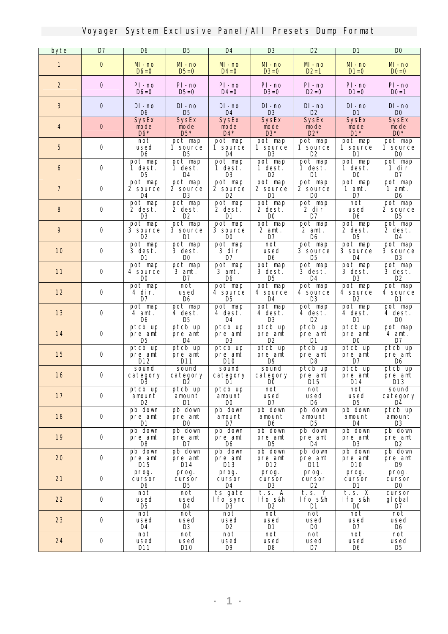| byte             | $\overline{D7}$ | <b>D</b> 6                                  | D5                                      | <b>D4</b>                               | $\overline{\mathbf{B}}$          | D2                                            | D1                                          | $\bf{D}0$                               |
|------------------|-----------------|---------------------------------------------|-----------------------------------------|-----------------------------------------|----------------------------------|-----------------------------------------------|---------------------------------------------|-----------------------------------------|
| 1                | $\mathbf 0$     | M - no<br>$D6=0$                            | $M - no$<br>$D5=0$                      | $M - no$<br><b>D4=0</b>                 | $M - no$<br>$D3=0$               | M-no<br>$D2=1$                                | M-no<br>$D1=0$                              | $M - no$<br>$D0=0$                      |
| $\boldsymbol{2}$ | $\bf{0}$        | PI - no<br>$D6=0$                           | PI-no<br>$D5=0$                         | PI-no<br>$\mathbf{D4}=\mathbf{0}$       | PI-no<br>$D3=0$                  | PI-no<br>$D2=0$                               | PI-no<br>$D1=0$                             | PI-no<br>$D0=1$                         |
| $\bf{3}$         | $\bf{0}$        | DI - no<br>D6                               | DI - no<br>D <sub>5</sub>               | DI - no<br><b>D4</b>                    | $DI - no$<br><b>D3</b>           | $\mathbf{D}\mathbf{I}$ - no<br>D <sub>2</sub> | $DI - no$<br>D1                             | DI - no<br>D <sub>0</sub>               |
| 4                | $\bf{0}$        | <b>SysEx</b><br>mode<br>$\mathbf{D6}^*$     | <b>SysEx</b><br>node<br>$\mathbf{D5}^*$ | <b>SysEx</b><br>node<br>$\mathbf{D4}^*$ | <b>SysEx</b><br>mode<br>$DS^*$   | <b>SysEx</b><br>mode<br>$D2*$                 | <b>SysEx</b><br>mode<br>$\mathbf{D1}^*$     | <b>SysEx</b><br>mode<br>$\mathbf{D0}^*$ |
| $\mathbf{5}$     | 0               | not<br>used<br>D6                           | pot nap<br>1 source<br>D5               | pot nap<br>1 source<br>D4               | pot map<br>1 source<br>œ         | pot nap<br>1 source<br>œ                      | pot map<br>1 source<br>D1                   | pot nap<br>1 source<br>DO               |
| 6                | $\mathbf 0$     | pot nap<br>1 dest.<br>D5                    | pot nap<br>1 dest.<br>D4                | pot nap<br>1 dest.<br>R                 | pot map<br>1 dest.<br>D2         | pot nap<br>1 dest.<br>M                       | pot nap<br>1 dest.<br><b>DO</b>             | pot nap<br>1 dir<br>D7                  |
| 7                | $\mathbf 0$     | pot nap<br>2 source<br>D4                   | pot nap<br>2 source<br>œ                | pot nap<br>2 source<br>D2               | pot map<br><b>2 source</b><br>D1 | pot nap<br><b>2 source</b><br>D0              | pot nap<br>1 ant.<br>D7                     | pot nap<br>$1$ ant.<br>D6               |
| 8                | 0               | pot nap<br>2 dest.<br>R                     | pot nap<br>2 dest.<br>œ                 | pot nap<br>2 dest.<br>D1                | pot map<br>2 dest.<br>DO.        | pot nap<br>2 dir<br>D7                        | not<br>used<br>D6                           | pot nap<br><b>2 source</b><br>D5        |
| 9                | 0               | pot nap<br><b>3 source</b><br>D2            | pot nap<br><b>3 source</b><br>D1        | pot nap<br><b>3 source</b><br><b>DO</b> | pot nap<br>2 ant.<br>D7          | pot nap<br>2 ant.<br>D6                       | pot nap<br>2 dest.<br>D5                    | pot nap<br>2 dest.<br>D4                |
| 10               | $\mathbf 0$     | pot nap<br>3 dest.<br>D1                    | pot nap<br>3 dest.<br><b>DO</b>         | pot nap<br>3 dir<br>D7                  | not<br>used<br>D6                | pot nap<br><b>3</b> source<br>D5              | pot nap<br><b>3 source</b><br>D4            | pot nap<br><b>3 source</b><br>œ         |
| 11               | $\mathbf 0$     | pot nap<br>4 source<br><b>DO</b>            | pot nap<br>$3$ ant.<br>D7               | pot nap<br>3 amt.<br>D6                 | pot nap<br>3 dest.<br>D5         | pot nap<br>3 dest.<br>D4                      | pot nap<br>3 dest.<br><b>D</b> <sub>3</sub> | pot nap<br>3 dest.<br>œ                 |
| 12               | $\mathbf 0$     | pot nap<br>4 dir.<br>D7                     | not<br>used<br>D6                       | pot nap<br><b>4 source</b><br>D5        | pot map<br><b>4 source</b><br>D4 | pot nap<br>4 source<br>R                      | pot nap<br><b>4 source</b><br>D2            | pot nap<br><b>4 source</b><br>D1        |
| 13               | $\bf{0}$        | pot nap<br>4 amt.<br>D6                     | pot nap<br>4 dest.<br>D5                | pot nap<br>4 dest.<br>D4                | pot nap<br>4 dest.<br>œ          | pot nap<br>4 dest.<br>œ                       | pot nap<br>4 dest.<br>D1                    | pot nap<br>4 dest.<br>DO.               |
| 14               | $\mathbf 0$     | ptcb up<br>pre ant<br><b>D</b> <sub>5</sub> | ptcb up<br>pre ant<br>D4                | ptcb up<br>pre ant<br>R                 | ptcb up<br>pre ant<br>œ          | ptcb up<br>pre ant<br>D1                      | ptcb up<br>pre ant<br><b>DO</b>             | pot nap<br>4 ant.<br>D7                 |
| 15               | 0               | ptcb up<br>pre ant<br>D12                   | ptcb up<br>pre ant<br>D11               | ptcb up<br>pre ant<br>D10               | ptcb up<br>pre ant<br>19         | ptcb up<br>pre ant<br>D8                      | ptcb up<br>pre ant<br>D7                    | ptcb up<br>pre ant<br>D6                |
| 16               | $\bf{0}$        | sound<br>category<br>DŜ                     | sound<br>category                       | sound<br>category<br>D1                 | sound<br>category<br>DO          | ptcb up<br>pre ant<br>D15                     | ptcb up<br>pre ant<br>D14                   | ptcb up<br>pre ant<br>D13               |
| 17               | 0               | ptcb up<br>anount<br>œ                      | ptcb up<br>anount<br>D1                 | ptcb up<br>anount<br>DO.                | not<br>used<br>D7                | not<br>used<br>D6                             | not<br>used<br>D5                           | sound<br>category<br>D4                 |
| 18               | $\bf 0$         | pb down<br>pre ant<br>M                     | pb down<br>pre ant<br>m                 | pb down<br>anount<br>D7                 | pb down<br>anount<br>D6          | pb down<br>anount<br>D5                       | pb down<br>anount<br>D4                     | ptcb up<br>anount<br>D3                 |
| 19               | $\mathbf 0$     | pb down<br>pre ant<br>D8                    | pb down<br>pre ant<br>D7                | pb down<br>pre ant<br>D6                | pb down<br>pre ant<br>D5         | pb down<br>pre ant<br>D4                      | pb down<br>pre ant<br>B                     | pb down<br>pre ant<br>œ                 |
| 20               | $\mathbf 0$     | pb down<br>pre ant<br>D15                   | pb down<br>pre ant<br>D14               | pb down<br>pre ant<br>D13               | pb down<br>pre ant<br>D12        | pb down<br>pre ant<br>D11                     | pb down<br>pre ant<br>D10                   | pb down<br>pre ant<br>D9                |
| 21               | $\mathbf 0$     | prog.<br>cursor<br>D6                       | prog.<br>cursor<br>D5                   | prog.<br>cursor<br>D4                   | prog.<br>cursor<br><b>D</b> 3    | prog.<br>cursor<br>D2                         | prog.<br>cursor<br>D1                       | prog.<br>cursor<br>DO.                  |
| 22               | $\bf{0}$        | not<br>used<br>D5                           | not<br>used<br>D4                       | ts gate<br><b>lfo</b> sync<br>R         | t.s. A<br>lfo s&h<br>œ           | t.s. Y<br>lfo s&h<br>D1                       | t.s. X<br>lfo s&h<br><b>DO</b>              | cursor<br>gl obal<br>D7                 |
| 23               | $\mathbf 0$     | $\overline{\text{not}}$<br>used<br>D4       | not<br>used<br><b>D3</b>                | not<br>used<br>D2                       | not<br>used<br>D1                | not<br>used<br>DO.                            | not<br>used<br>D7                           | not<br>used<br>D6                       |
| 24               | $\bf 0$         | not<br>used<br>D11                          | not<br>used<br><b>D10</b>               | not<br>used<br>D9                       | not<br>used<br>D8                | not<br>used<br>D7                             | not<br>used<br>D6                           | not<br>used<br>D5                       |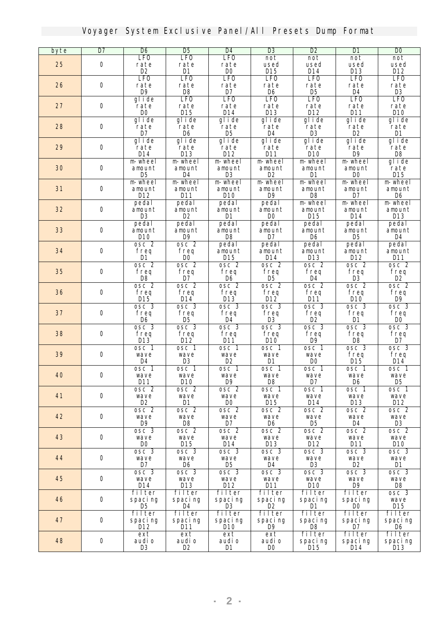| byte | D7               | D6                     | <b>D</b> <sub>5</sub>  | <b>D4</b>                 | <b>D</b> <sub>3</sub>           | <b>D2</b>              | D1                             | <b>DO</b>                 |
|------|------------------|------------------------|------------------------|---------------------------|---------------------------------|------------------------|--------------------------------|---------------------------|
|      |                  | <b>LFO</b>             | <b>LFO</b>             | <b>LFO</b>                | not                             | not                    | not                            | not                       |
| 25   | $\bf{0}$         | rate<br>D <sub>2</sub> | rate<br><b>D1</b>      | rate<br>D <sub>0</sub>    | used<br><b>D15</b>              | used<br>D14            | used<br><b>D13</b>             | used<br>D12               |
|      |                  | <b>LFO</b>             | <b>LFO</b>             | <b>LFO</b>                | <b>LFO</b>                      | <b>LFO</b>             | <b>LFO</b>                     | <b>LFO</b>                |
| 26   | $\bf{0}$         | rate                   | rate                   | rate                      | rate                            | rate                   | rate                           | rate                      |
|      |                  | D9                     | D8                     | D7                        | D6                              | D5                     | D4                             | <b>D</b> 3                |
|      |                  | glide                  | <b>LFO</b>             | <b>LFO</b>                | <b>LFO</b>                      | <b>LFO</b>             | <b>LFO</b>                     | <b>LFO</b>                |
| 27   | $\bf{0}$         | rate<br>D <sub>0</sub> | rate<br><b>D15</b>     | rate<br>$M4$              | rate<br><b>D13</b>              | rate<br>D12            | rate<br>D11                    | rate<br>D <sub>10</sub>   |
|      |                  | glide                  | glide                  | glide                     | glide                           | glide                  | glide                          | glide                     |
| 28   | $\bf{0}$         | rate                   | rate                   | rate                      | rate                            | rate                   | rate                           | rate                      |
|      |                  | D7                     | D6                     | D5                        | D4                              | R                      | œ                              | D1                        |
|      |                  | glide                  | glide                  | glide                     | glide                           | glide                  | glide                          | glide                     |
| 29   | 0                | rate<br><b>D14</b>     | rate<br><b>D13</b>     | rate<br>D12               | rate<br>$M1$                    | rate<br>D10            | rate<br><b>D9</b>              | rate<br>D8                |
|      |                  | m wheel                | m wheel                | <b>m</b> wheel            | m wheel                         | m wheel                | m wheel                        | glide                     |
| 30   | $\bf{0}$         | anount                 | anount                 | anount                    | anount                          | anount                 | anount                         | rate                      |
|      |                  | <b>D</b> <sub>5</sub>  | D4                     | <b>D3</b>                 | D <sub>2</sub>                  | D1                     | DO.                            | <b>D15</b>                |
|      |                  | <b>m</b> wheel         | m wheel                | m wheel                   | m wheel                         | m wheel                | m wheel                        | m wheel                   |
| 31   | $\bf{0}$         | anount<br>D12          | anount<br><b>D11</b>   | anount<br>D10             | anount<br><b>D</b> <sup>9</sup> | anount<br>D8           | anount<br>D7                   | anount<br>D6              |
|      |                  | pedal                  | pedal                  | pedal                     | pedal                           | <b>m</b> wheel         | m wheel                        | m wheel                   |
| 32   | $\bf{0}$         | anount                 | anount                 | anount                    | anount                          | anount                 | anount                         | anount                    |
|      |                  | <b>D3</b>              | D <sub>2</sub>         | D1                        | D <sub>0</sub>                  | D15                    | $M4$                           | D13                       |
|      |                  | pedal                  | pedal                  | pedal                     | pedal                           | pedal                  | pedal                          | pedal                     |
| 33   | $\bf{0}$         | anount<br>D10          | anount                 | anount<br>D <sub>8</sub>  | anount                          | anount                 | anount                         | anount<br><b>D4</b>       |
|      |                  | osc <sub>2</sub>       | D9<br>osc <sub>2</sub> | pedal                     | D7<br>pedal                     | D6<br>pedal            | D5<br>pedal                    | pedal                     |
| 34   | $\bf{0}$         | freq                   | freq                   | anount                    | anount                          | anount                 | anount                         | anount                    |
|      |                  | D1                     | DO.                    | D15                       | D14                             | D13                    | D12                            | D11                       |
|      |                  | osc <sub>2</sub>       | osc <sub>2</sub>       | osc <sub>2</sub>          | osc <sub>2</sub>                | osc <sub>2</sub>       | osc <sub>2</sub>               | osc <sub>2</sub>          |
| 35   | $\bf{0}$         | freq                   | freq                   | freq                      | freq                            | freq                   | freq                           | freq                      |
|      |                  | D8<br>osc <sub>2</sub> | D7<br>osc <sub>2</sub> | D6<br>osc <sub>2</sub>    | D5<br>osc <sub>2</sub>          | D4<br>osc <sub>2</sub> | <b>D</b> 3<br>osc <sub>2</sub> | œ<br>osc <sub>2</sub>     |
| 36   | $\bf{0}$         | freq                   | freq                   | freq                      | freq                            | freq                   | freq                           | freq                      |
|      |                  | D15                    | D14                    | D13                       | D12                             | D11                    | D10                            | D9                        |
|      |                  | osc <sub>3</sub>       | osc <sub>3</sub>       | osc <sub>3</sub>          | osc 3                           | osc <sub>3</sub>       | osc <sub>3</sub>               | osc <sub>3</sub>          |
| 37   | $\bf{0}$         | freq<br>D6             | freq<br>D <sub>5</sub> | freq<br>D4                | freq<br><b>D</b> 3              | freq<br>œ              | freq<br>D1                     | freq<br>DO <sub>1</sub>   |
|      |                  | osc <sub>3</sub>       | osc <sub>3</sub>       | osc 3                     | osc <sub>3</sub>                | osc <sub>3</sub>       | osc <sub>3</sub>               | osc <sub>3</sub>          |
| 38   | $\bf{0}$         | freq                   | freq                   | freq                      | freq                            | freq                   | freq                           | freq                      |
|      |                  | D13                    | D12                    | D11                       | D10                             | 119                    | D8                             | D7                        |
|      |                  | osc 1                  | osc 1                  | osc 1                     | osc 1                           | osc 1                  | osc <sub>3</sub>               | osc 3                     |
| 39   | 0                | wave<br>D4             | wave<br><b>D3</b>      | wave<br>D2                | wave<br>D1                      | wave<br>D <sub>0</sub> | freq<br>D15                    | freq<br>D14               |
|      |                  | osc 1                  | osc 1                  | osc 1                     | osc 1                           | osc 1                  | osc 1                          | osc 1                     |
| 40   | $\bf{0}$         | wave                   | wave                   | wave                      | wave                            | wave                   | wave                           | wave                      |
|      |                  | $M1$                   | $_{\text{M0}}$         | D9                        | D8                              | D7                     | D6                             | D <sub>5</sub>            |
|      |                  | osc 2                  | osc <sub>2</sub>       | osc <sub>2</sub>          | osc 1                           | osc 1                  | osc 1                          | osc 1                     |
| 41   | $\bf{0}$         | wave<br>D2             | wave<br>D1             | wave<br>DO.               | wave<br>D15                     | wave<br>D14            | wave<br>D13                    | wave<br>D12               |
|      |                  | osc <sub>2</sub>       | osc <sub>2</sub>       | osc <sub>2</sub>          | osc <sub>2</sub>                | osc <sub>2</sub>       | osc <sub>2</sub>               | osc <sub>2</sub>          |
| 42   | $\bf{0}$         | wave                   | wave                   | wave                      | wave                            | wave                   | wave                           | wave                      |
|      |                  | $\mathbf{D}9$          | D8                     | D7                        | D <sub>6</sub>                  | D <sub>5</sub>         | D4                             | <b>D3</b>                 |
| 43   | $\bf 0$          | osc 3                  | osc <sub>2</sub>       | osc <sub>2</sub>          | osc <sub>2</sub>                | osc <sub>2</sub>       | osc <sub>2</sub>               | osc <sub>2</sub>          |
|      |                  | wave<br>DO             | wave<br>D15            | wave<br>D14               | wave<br>D13                     | wave<br>D12            | wave<br>$D11$                  | wave<br>D10               |
|      |                  | osc <sub>3</sub>       | osc <sub>3</sub>       | $\overline{\text{osc}}$ 3 | osc 3                           | osc 3                  | osc 3                          | osc 3                     |
| 44   | $\mathbf 0$      | wave                   | wave                   | wave                      | wave                            | wave                   | wave                           | wave                      |
|      |                  | D7                     | D6                     | D5                        | D4                              | <b>D3</b>              | D2                             | D1                        |
| 45   | $\bf{0}$         | osc 3                  | osc 3                  | osc <sub>3</sub>          | osc <sub>3</sub>                | osc 3                  | osc <sub>3</sub>               | osc <sub>3</sub>          |
|      |                  | wave<br>D14            | wave<br><b>D13</b>     | wave<br>D12               | wave<br>D11                     | wave<br>D10            | wave<br>$\mathbf{D9}$          | wave<br>D8                |
|      |                  | filter                 | filter                 | filter                    | filter                          | filter                 | filter                         | $\overline{\text{osc}}$ 3 |
| 46   | $\bf{0}$         | spacing                | spacing                | spacing                   | spacing                         | spacing                | spacing                        | wave                      |
|      |                  | D5                     | D4                     | œ                         | œ                               | D1                     | DO.                            | <b>D15</b>                |
| 47   | $\mathbf 0$      | filter                 | filter                 | filter                    | filter                          | filter                 | filter                         | filter                    |
|      |                  | spacing<br>D12         | spacing<br>D11         | spaci ng<br>D10           | spacing<br>D9                   | spacing<br>D8          | spacing<br>D7                  | spacing<br>D6             |
|      |                  | ext                    | ext                    | ext                       | ext                             | filter                 | filter                         | filter                    |
| 48   | $\boldsymbol{0}$ | audi o                 | audi o                 | audi o                    | audi o                          | spacing                | spacing                        | spacing                   |
|      |                  | R                      | D <sub>2</sub>         | D1                        | DO                              | D15                    | D14                            | D13                       |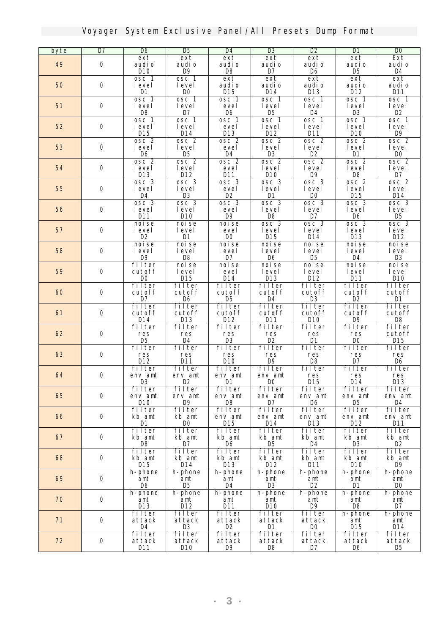| byte | $\overline{\mathbf{D7}}$ | <b>D</b> 6                     | <b>D</b> <sub>5</sub>  | <b>D4</b>             | <b>D</b> <sub>3</sub>     | D2                        | DI                                 | $\overline{\mathbf{D}}$ |
|------|--------------------------|--------------------------------|------------------------|-----------------------|---------------------------|---------------------------|------------------------------------|-------------------------|
|      |                          | ext                            | ext                    | ext                   | ext                       | ext                       | ext                                | <b>Ext</b>              |
| 49   | $\bf 0$                  | audi o                         | audi o                 | audi o                | audi o                    | audi o                    | audi o                             | audi o                  |
|      |                          | D10                            | <b>D9</b><br>osc 1     | D <sub>8</sub>        | D7<br>ext                 | D <sub>6</sub>            | D <sub>5</sub><br>ext              | D4                      |
| 50   | $\mathbf 0$              | osc 1<br>level                 | level                  | ext<br>audi o         | audi o                    | ext<br>audi o             | audi o                             | ext<br>audi o           |
|      |                          | D1                             | <b>DO</b>              | D15                   | D14                       | D13                       | D12                                | <b>D11</b>              |
|      |                          | osc 1                          | osc 1                  | osc 1                 | osc <sub>1</sub>          | osc <sub>1</sub>          | osc <sub>1</sub>                   | osc 1                   |
| 51   | $\bf{0}$                 | level                          | level                  | level                 | level                     | level                     | level                              | level                   |
|      |                          | D <sub>8</sub>                 | D7                     | D6                    | D <sub>5</sub>            | <b>D4</b>                 | <b>D3</b>                          | D <sub>2</sub>          |
|      |                          | osc 1                          | osc 1                  | osc 1                 | osc 1                     | osc 1                     | osc 1                              | osc 1                   |
| 52   | $\mathbf 0$              | level<br>D15                   | level<br><b>D14</b>    | level<br><b>D13</b>   | level<br>D12              | level<br>D11              | level<br>D10                       | level<br>D <sub>9</sub> |
|      |                          | osc <sub>2</sub>               | osc <sub>2</sub>       | osc 2                 | osc 2                     | osc <sub>2</sub>          | osc <sub>2</sub>                   | osc 2                   |
| 53   | $\bf{0}$                 | level                          | level                  | level                 | level                     | level                     | <b>level</b>                       | level                   |
|      |                          | D6                             | D5                     | D4                    | <b>D3</b>                 | D <sub>2</sub>            | <b>D1</b>                          | DO.                     |
|      |                          | osc <sub>2</sub>               | osc <sub>2</sub>       | osc <sub>2</sub>      | osc <sub>2</sub>          | osc <sub>2</sub>          | osc <sub>2</sub>                   | osc <sub>2</sub>        |
| 54   | $\bf{0}$                 | level                          | level                  | level                 | level                     | level                     | level                              | level                   |
|      |                          | <b>D13</b><br>osc <sub>3</sub> | D12<br>osc 3           | D11<br>osc 3          | D <sub>10</sub><br>osc 3  | D9<br>osc 3               | D <sub>8</sub><br>osc <sub>2</sub> | D7<br>osc <sub>2</sub>  |
| 55   | $\bf{0}$                 | level                          | level                  | level                 | level                     | level                     | level                              | level                   |
|      |                          | D4                             | <b>D</b> 3             | D2                    | D1                        | m                         | D15                                | D14                     |
|      |                          | osc 3                          | osc 3                  | osc <sub>3</sub>      | osc 3                     | osc 3                     | osc <sub>3</sub>                   | osc <sub>3</sub>        |
| 56   | 0                        | level                          | level                  | level                 | level                     | level                     | level                              | level                   |
|      |                          | D11                            | D10                    | <b>D9</b>             | D8                        | D7                        | D6                                 | D5                      |
| 57   | $\bf{0}$                 | noise                          | noise<br>level         | noise<br>level        | osc <sub>3</sub><br>level | osc <sub>3</sub><br>level | osc <sub>3</sub><br>level          | osc 3<br>level          |
|      |                          | level<br>D2                    | D1                     | <b>DO</b>             | <b>D15</b>                | D14                       | <b>D13</b>                         | D12                     |
|      |                          | noise                          | noise                  | noise                 | noise                     | noise                     | noise                              | noise                   |
| 58   | $\bf{0}$                 | level                          | level                  | level                 | level                     | level                     | level                              | level                   |
|      |                          | D9                             | D8                     | D7                    | D <sub>6</sub>            | D <sub>5</sub>            | D4                                 | <b>D</b> 3              |
|      |                          | filter                         | noise                  | noise                 | noise                     | noise                     | noise                              | noise                   |
| 59   | $\mathbf 0$              | cutoff<br><b>DO</b>            | level<br>$\mathbf{M}5$ | level<br>D14          | level<br>D13              | level<br>D12              | level<br><b>D11</b>                | level<br>D10            |
|      |                          | filter                         | filter                 | filter                | filter                    | filter                    | filter                             | filter                  |
| 60   | 0                        | cutoff                         | cutoff                 | cutoff                | cutoff                    | cutoff                    | cutoff                             | cutoff                  |
|      |                          | D7                             | D6                     | D <sub>5</sub>        | D4                        | <b>D</b> <sub>3</sub>     | D <sub>2</sub>                     | D1                      |
|      |                          | filter                         | filter                 | filter                | filter                    | filter                    | filter                             | filter                  |
| 61   | $\bf{0}$                 | cutoff                         | cutoff                 | cutoff                | cutoff                    | cutoff                    | cutoff                             | cutoff                  |
|      |                          | D14<br>filter                  | <b>D13</b><br>filter   | D12<br>filter         | $M1$<br>filter            | $_{m_0}$<br>filter        | D9<br>filter                       | $\mathbf{D}$<br>filter  |
| 62   | 0                        | res                            | res                    | res                   | res                       | res                       | res                                | cutoff                  |
|      |                          | D5                             | D4                     | R                     | D2                        | <b>D</b> 1                | DO.                                | D15                     |
|      |                          | filter                         | filter                 | filter                | filter                    | filter                    | filter                             | filter                  |
| 63   | 0                        | res                            | res                    | res                   | res                       | res                       | res                                | res                     |
|      |                          | D12                            | <b>D11</b>             | D10                   | D9                        | D8                        | D7                                 | D6                      |
| 64   | $\bf{0}$                 | filter<br>env ant              | filter<br>env ant      | filter<br>env ant     | filter<br>env ant         | filter<br>res             | filter<br>res                      | filter<br>res           |
|      |                          | <b>D</b> 3                     | D2                     | D1                    | DO <sub>1</sub>           | <b>D15</b>                | <b>D14</b>                         | <b>D13</b>              |
|      |                          | filter                         | filter                 | filter                | filter                    | filter                    | filter                             | filter                  |
| 65   | 0                        | env ant                        | env ant                | env ant               | env ant                   | env ant                   | env ant                            | env ant                 |
|      |                          | D10                            | D9                     | D8                    | D7                        | D6                        | D5                                 | D4                      |
| 66   | 0                        | filter                         | filter<br>kb ant       | filter                | filter                    | filter                    | filter                             | filter                  |
|      |                          | kb amt<br><b>D1</b>            | $\bf{D}0$              | env ant<br><b>D15</b> | env ant<br>D14            | env ant<br><b>D13</b>     | env ant<br>D12                     | env ant<br><b>D11</b>   |
|      |                          | filter                         | filter                 | filter                | filter                    | filter                    | filter                             | filter                  |
| 67   | $\mathbf 0$              | kb ant                         | kb ant                 | kb ant                | kb ant                    | kb ant                    | kb ant                             | kb ant                  |
|      |                          | D8                             | D7                     | D6                    | D5                        | D4                        | œ                                  | D2                      |
|      |                          | filter                         | filter                 | filter                | filter                    | filter                    | filter                             | filter                  |
| 68   | 0                        | kb ant<br>D15                  | kb ant<br>D14          | kb ant<br><b>D13</b>  | kb ant<br>D12             | kb ant<br>D11             | kb ant<br>D10                      | kb ant<br>D9            |
|      |                          | h-phone                        | h-phone                | h-phone               | h-phone                   | h-phone                   | h-phone                            | h-phone                 |
| 69   | $\mathbf 0$              | ant                            | ant                    | ant                   | ant                       | ant                       | ant                                | ant                     |
|      |                          | D6                             | D <sub>5</sub>         | D4                    | <b>D3</b>                 | D2                        | D1                                 | DO                      |
|      |                          | h-phone                        | h-phone                | h-phone               | h-phone                   | h-phone                   | h-phone                            | h-phone                 |
| 70   | $\bf{0}$                 | ant                            | ant                    | ant                   | ant                       | ant                       | ant                                | ant                     |
|      |                          | D13                            | D12<br>filter          | $D11$<br>filter       | D10                       | D9                        | D8                                 | D7                      |
| 71   | $\mathbf 0$              | filter<br>attack               | attack                 | attack                | filter<br>attack          | filter<br>attack          | h-phone<br>ant                     | h-phone<br>ant          |
|      |                          | D4                             | <b>D3</b>              | D2                    | D1                        | <b>DO</b>                 | D15                                | <b>D14</b>              |
|      |                          | filter                         | filter                 | filter                | filter                    | filter                    | filter                             | filter                  |
| 72   | $\bf 0$                  | attack                         | attack                 | attack                | attack                    | attack                    | attack                             | attack                  |
|      |                          | D11                            | D10                    | D9                    | D8                        | D7                        | D6                                 | D5                      |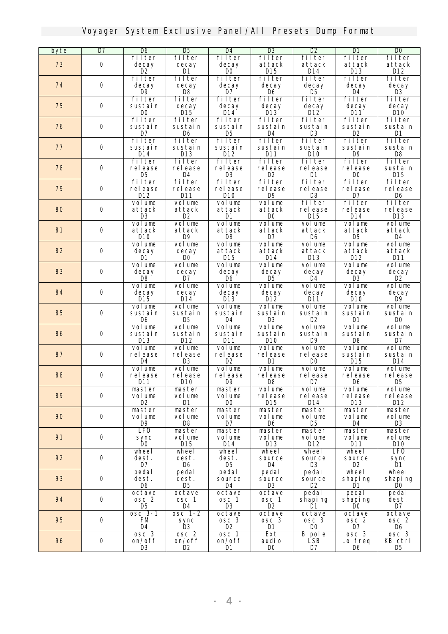| byte | $\overline{D7}$ | D6                      | <b>D</b> <sub>5</sub>         | D4                       | <b>D3</b>             | D2                        | DI                       | $\bf{D}0$                |
|------|-----------------|-------------------------|-------------------------------|--------------------------|-----------------------|---------------------------|--------------------------|--------------------------|
|      |                 | filter                  | filter                        | filter                   | filter                | filter                    | filter                   | filter                   |
| 73   | $\bf{0}$        | decay                   | decay                         | decay                    | attack                | attack                    | attack                   | attack                   |
|      |                 | D2<br>filter            | D1<br>filter                  | <b>DO</b><br>filter      | <b>D15</b><br>filter  | D14<br>filter             | <b>D13</b><br>filter     | D12<br>filter            |
| 74   | $\bf{0}$        | decay                   | decay                         | decay                    | decay                 | decav                     | decay                    | decay                    |
|      |                 | <b>D9</b>               | D <sub>8</sub>                | D7                       | D <sub>6</sub>        | D <sub>5</sub>            | <b>D4</b>                | <b>D3</b>                |
|      |                 | filter                  | filter                        | filter                   | filter                | filter                    | filter                   | filter                   |
| 75   | $\bf{0}$        | sustain                 | decay                         | decay                    | decay                 | decay                     | decay                    | decay                    |
|      |                 | $\bf{D}0$               | $\mathbf{M5}$                 | $\bf{M4}$                | $D13$                 | $\mathbf{D}12$            | D11                      | D10                      |
|      |                 | filter                  | filter                        | filter                   | filter                | filter                    | filter                   | filter                   |
| 76   | $\bf{0}$        | sustain                 | sustain                       | sustain                  | sustain               | sustain                   | sustain                  | sustain                  |
|      |                 | $\mathbf{D}7$<br>filter | D6<br>filter                  | D <sub>5</sub><br>filter | <b>D4</b><br>filter   | <b>D3</b><br>filter       | D <sub>2</sub><br>filter | D1<br>filter             |
| 77   | $\bf{0}$        | sustain                 | sustain                       | sustain                  | sustain               | sustain                   | sustain                  | sustain                  |
|      |                 | <b>D14</b>              | <b>D13</b>                    | D12                      | <b>D11</b>            | D10                       | D9                       | D <sub>8</sub>           |
|      |                 | filter                  | filter                        | filter                   | filter                | filter                    | filter                   | filter                   |
| 78   | $\bf{0}$        | release                 | release                       | release                  | release               | release                   | release                  | sustain                  |
|      |                 | <b>D</b> <sub>5</sub>   | D4                            | <b>D3</b>                | D <sub>2</sub>        | D1                        | <b>DO</b>                | D15                      |
|      |                 | filter                  | filter                        | filter                   | filter                | filter                    | filter                   | filter                   |
| 79   | $\bf{0}$        | release<br>D12          | release<br>D11                | release<br>D10           | release<br>D9         | release<br>DB             | release<br>D7            | release<br>D6            |
|      |                 | volume                  | volune                        | volune                   | volume                | filter                    | filter                   | filter                   |
| 80   | $\bf{0}$        | attack                  | attack                        | attack                   | attack                | release                   | release                  | release                  |
|      |                 | <b>D3</b>               | D <sub>2</sub>                | D1                       | D <sub>0</sub>        | <b>D15</b>                | D14                      | $D13$                    |
|      |                 | volume                  | volune                        | volune                   | volume                | volume                    | volune                   | volume                   |
| 81   | $\bf{0}$        | attack                  | attack                        | attack                   | attack                | attack                    | attack                   | attack                   |
|      |                 | D10                     | D9                            | D8                       | D7                    | Dß                        | D <sub>5</sub>           | <b>D4</b>                |
|      |                 | volume                  | vol une                       | volune                   | volume                | volume                    | volune                   | volume                   |
| 82   | $\bf{0}$        | decay<br>D1             | decay<br>m                    | attack<br>D15            | attack<br>D14         | attack<br>D13             | attack<br>D12            | attack<br><b>D11</b>     |
|      |                 | volume                  | volume                        | volune                   | volume                | volume                    | volume                   | volune                   |
| 83   | $\bf{0}$        | decay                   | decay                         | decay                    | decay                 | decay                     | decay                    | decay                    |
|      |                 | D <sub>8</sub>          | D7                            | D <sub>6</sub>           | D <sub>5</sub>        | <b>D4</b>                 | <b>D</b> <sub>3</sub>    | D <sub>2</sub>           |
|      |                 | vol une                 | volune                        | volune                   | volume                | volume                    | vol une                  | volume                   |
| 84   | $\bf{0}$        | decay                   | decay                         | decay                    | decay                 | decay                     | decay                    | decay                    |
|      |                 | $D15$<br>volume         | $M4$<br>volume                | $D13$<br>volune          | $D12$<br>volume       | $D11$<br>volume           | D10<br>vol une           | D <sub>9</sub><br>volune |
| 85   | $\bf{0}$        | sustain                 | sustain                       | sustain                  | sustain               | sustain                   | sustain                  | sustain                  |
|      |                 | D6                      | D5                            | D4                       | <b>D</b> <sub>3</sub> | D2                        | D1                       | <b>DO</b>                |
|      |                 | volume                  | volune                        | volune                   | volume                | volune                    | volume                   | volume                   |
| 86   | $\bf{0}$        | sustain                 | sustain                       | sustain                  | sustain               | sustain                   | sustain                  | sustain                  |
|      |                 | <b>D13</b>              | D12                           | $M1$                     | D10                   | D9                        | D <sub>8</sub>           | $\mathbf{D}7$            |
|      |                 | volume<br>release       | volune                        | volune                   | volume                | volume                    | volune                   | volume                   |
| 87   | $\bf{0}$        | <b>D4</b>               | release<br><b>D3</b>          | release<br>D2            | release<br>D1         | release<br>D <sub>0</sub> | sustain<br><b>D15</b>    | sustain<br>D14           |
|      |                 | volume                  | vol une                       | volume                   | volume                | <b>volume</b>             | volune                   | volume                   |
| 88   | $\bf{0}$        | release                 | release                       | release                  | release               | release                   | release                  | release                  |
|      |                 | $M1$                    | $_{\text{M0}}$                | D9                       | D8                    | D7                        | D6                       | D <sub>5</sub>           |
|      |                 | master                  | naster                        | master                   | volume                | volume                    | volume                   | volume                   |
| 89   | 0               | volume                  | volume                        | vol une                  | release               | release                   | release                  | release                  |
|      |                 | œ                       | D1                            | DO                       | D15                   | D14                       | D13                      | D12                      |
| 90   | $\bf{0}$        | master<br>vol une       | naster<br>vol une             | master<br>vol une        | master<br>vol une     | master<br>vol une         | master<br>vol une        | master<br>volune         |
|      |                 | D9                      | D8                            | D7                       | D6                    | D5                        | D4                       | <b>D3</b>                |
|      |                 | <b>LFO</b>              | master                        | master                   | master                | master                    | naster                   | master                   |
| 91   | $\bf{0}$        | sync                    | volume                        | volume                   | volume                | volume                    | vol une                  | volume                   |
|      |                 | DO.                     | D15                           | D14                      | D13                   | D12                       | D11                      | D10                      |
|      |                 | wheel                   | wheel                         | wheel                    | wheel                 | wheel                     | <b>wheel</b>             | <b>LFO</b>               |
| 92   | $\bf{0}$        | dest.<br>D7             | dest.<br>D6                   | dest.<br>D5              | source<br>D4          | source<br><b>D3</b>       | source<br>D2             | sync<br>Ď1               |
|      |                 | pedal                   | pedal                         | pedal                    | pedal                 | pedal                     | wheel                    | wheel                    |
| 93   | $\bf{0}$        | dest.                   | dest.                         | source                   | source                | source                    | shapi ng                 | shapi ng                 |
|      |                 | D6                      | D5                            | D4                       | D3                    | D2                        | D1                       | <b>DO</b>                |
|      |                 | octave                  | octave                        | octave                   | octave                | pedal                     | pedal                    | pedal                    |
| 94   | $\bf{0}$        | osc 2                   | osc 1                         | osc 1                    | osc 1                 | shapi ng                  | shapi ng                 | dest.                    |
|      |                 | D5                      | D4                            | <b>D3</b>                | D2                    | D1                        | DO.                      | D7                       |
|      |                 | osc 3-1                 | osc 1-2                       | octave                   | octave                | octave                    | octave                   | octave                   |
| 95   | $\bf{0}$        | FM<br>D4                | sync<br><b>D</b> <sub>3</sub> | osc 3<br>D2              | osc 3<br>D1           | osc 3<br><b>DO</b>        | osc 2<br>D7              | osc 2<br>D6              |
|      |                 | osc 3                   | osc 2                         | osc 1                    | Ext                   | <b>B</b> pole             | osc 3                    | osc 3                    |
| 96   | 0               | on/off                  | on/off                        | on/off                   | audi o                | <b>LSB</b>                | Lo freq                  | KB ctrl                  |
|      |                 | ĸ                       | œ                             | D1                       | <b>DO</b>             | D7                        | D6                       | D5                       |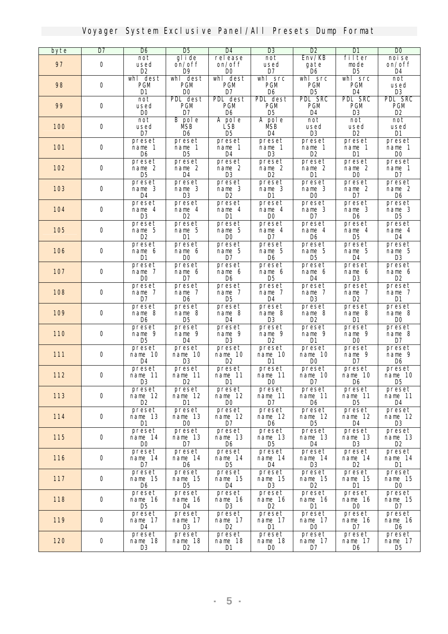| byte       | $\overline{\mathbf{D7}}$ | <b>D</b> 6               | <b>D</b> <sub>5</sub> | D4                    | <b>D3</b>                | D2                         | D1                     | <b>DO</b>            |
|------------|--------------------------|--------------------------|-----------------------|-----------------------|--------------------------|----------------------------|------------------------|----------------------|
|            |                          | not                      | glide                 | release               | not                      | $\mathbf{Env}/\mathbf{KB}$ | filter                 | noise                |
| 97         | 0                        | used<br>D2               | on/off<br>D9          | on/off<br><b>DO</b>   | used<br>D7               | gate<br>D6                 | mode<br>D5             | on/off<br>D4         |
|            |                          | whl dest                 | whl dest              | whl dest              | whl src                  | whl src                    | whl src                | not                  |
| 98         | 0                        | <b>PGM</b>               | <b>PGM</b>            | <b>PGM</b>            | <b>PGM</b>               | <b>PGM</b>                 | <b>PGM</b>             | used                 |
|            |                          | D1                       | <b>DO</b>             | D7                    | D6                       | D5                         | D4                     | D3                   |
|            |                          | not                      | <b>PDL</b> dest       | <b>PDL</b> dest       | <b>PDL</b> dest          | <b>PDL SRC</b>             | <b>PDL SRC</b>         | <b>PDL SRC</b>       |
| 99         | 0                        | used                     | <b>PGM</b>            | <b>PGM</b>            | <b>PGM</b>               | <b>PGM</b>                 | PGM                    | <b>PGM</b>           |
|            |                          | <b>DO</b>                | D7                    | D6                    | D5                       | D4                         | D3                     | œ                    |
|            |                          | not                      | <b>B</b> pole         | A pole                | A pole                   | not                        | not                    | not                  |
| <b>100</b> | 0                        | used<br>D7               | MБВ<br>D6             | LSB<br>D5             | MБВ<br>D4                | used<br><b>D3</b>          | used<br>D <sub>2</sub> | used<br>D1           |
|            |                          | preset                   | preset                | preset                | preset                   | preset                     | preset                 | preset               |
| <b>101</b> | 0                        | nane 1                   | nane 1                | nane 1                | nane 1                   | nane 1                     | nane 1                 | nane 1               |
|            |                          | D6                       | D5                    | D4                    | R                        | D2                         | D1                     | <b>DO</b>            |
|            |                          | preset                   | preset                | preset                | preset                   | preset                     | preset                 | preset               |
| 102        | 0                        | name 2                   | nane 2                | nane 2                | name 2                   | name 2                     | name 2                 | nane 1               |
|            |                          | D5                       | D4                    | <b>D</b> 3            | D2                       | D1                         | DO.                    | D7                   |
|            |                          | preset                   | preset                | preset                | preset                   | preset                     | preset                 | preset               |
| <b>103</b> | 0                        | name 3<br>D4             | nane 3<br>œ           | nane 3<br>D2          | nane 3<br>D1             | nane 3<br>D0               | name 2<br>D7           | name 2<br>D6         |
|            |                          | preset                   | preset                | preset                | preset                   | preset                     | preset                 | preset               |
| 104        | 0                        | nane 4                   | name 4                | nane 4                | nane 4                   | nane 3                     | name 3                 | name 3               |
|            |                          | R                        | D2                    | D1                    | <b>DO</b>                | D7                         | D6                     | D5                   |
|            |                          | preset                   | preset                | preset                | preset                   | preset                     | preset                 | preset               |
| <b>105</b> | $\bf{0}$                 | name 5                   | nane 5                | nane 5                | nane 4                   | nane 4                     | nane 4                 | name 4               |
|            |                          | D2                       | D1                    | D0                    | D7                       | D6                         | D5                     | D4                   |
|            |                          | preset                   | preset                | preset                | preset                   | preset                     | preset                 | preset               |
| <b>106</b> | 0                        | nane 6<br>D1             | nane 6<br><b>DO</b>   | nane 5<br>D7          | nane 5<br>D6             | nane 5<br>D5               | nane 5<br>D4           | name 5<br><b>D</b> 3 |
|            |                          | preset                   | preset                | preset                | <b>preset</b>            | preset                     | preset                 | preset               |
| 107        | 0                        | name 7                   | nane 6                | nane 6                | nane 6                   | nane 6                     | nane 6                 | nane 6               |
|            |                          | <b>DO</b>                | D7                    | D6                    | D5                       | D4                         | D3                     | D2                   |
|            |                          | preset                   | preset                | preset                | preset                   | preset                     | preset                 | preset               |
| <b>108</b> | 0                        | name 7                   | nane 7                | nane 7                | name 7                   | nane 7                     | nane 7                 | nane 7               |
|            |                          | D7                       | D6                    | D5                    | D4                       | R                          | œ                      | D1                   |
| <b>109</b> | 0                        | preset<br>name 8         | preset<br>name 8      | preset<br>nane 8      | preset<br>nane 8         | preset<br>nane 8           | preset<br>nane 8       | preset<br>name 8     |
|            |                          | D6                       | D5                    | D4                    | <b>D</b> 3               | D2                         | D1                     | <b>DO</b>            |
|            |                          | preset                   | preset                | preset                | preset                   | preset                     | preset                 | preset               |
| <b>110</b> | $\bf{0}$                 | nane 9                   | nane 9                | nane 9                | nane 9                   | nane 9                     | nane 9                 | name 8               |
|            |                          | D5                       | D4                    | <b>D</b> 3            | D2                       | D1                         | DO                     | D7                   |
|            |                          | preset                   | preset                | preset                | preset                   | preset                     | preset                 | preset               |
| <b>111</b> | 0                        | nane 10<br><b>D</b> 4    | nane 10<br>R          | nane 10<br>œ          | nane 10<br>D1            | nane 10<br><b>DO</b>       | nane 9<br>D7           | nane 9<br>D6         |
|            |                          | preset                   |                       |                       |                          | preset                     |                        | preset               |
| 112        | 0                        | nane 11                  | preset<br>nane 11     | preset<br>nane 11     | preset<br>nane 11        | nane 10                    | preset<br>nane 10      | nane 10              |
|            |                          | $\mathbf{D3}$            | D2                    | D1                    | DO                       | D7                         | D6                     | D5                   |
|            |                          | <i>preset</i>            | preset                | preset                | preset                   | preset                     | preset                 | preset               |
| 113        | 0                        | name 12                  | nane 12               | nane 12               | nane 11                  | nane 11                    | nane 11                | nane 11              |
|            |                          | D2                       | Ш                     | DO.                   | D7                       | D6                         | D5                     | D4                   |
|            | 0                        | <b>preset</b>            | preset                | preset                | preset                   | preset                     | <i>preset</i>          | <b>preset</b>        |
| <b>114</b> |                          | nane 13<br>D1            | name 13<br><b>DO</b>  | nane 12<br>D7         | nane 12<br>D6            | nane 12<br>D5              | nane 12<br>D4          | nane 12<br><b>D3</b> |
|            |                          | preset                   | <i>preset</i>         | preset                | preset                   | preset                     | <i>preset</i>          | preset               |
| <b>115</b> | 0                        | nane 14                  | nane 13               | nane 13               | nane 13                  | nane 13                    | nane 13                | nane 13              |
|            |                          | DO                       | D7                    | D6                    | D5                       | <b>D4</b>                  | œ                      | œ                    |
|            |                          | <b>preset</b>            | <i>preset</i>         | <i>preset</i>         | <i>preset</i>            | <b>preset</b>              | preset                 | <b>preset</b>        |
| <b>116</b> | 0                        | name 14                  | nane 14               | nane 14               | nane 14                  | nane 14                    | nane 14                | nane 14              |
|            |                          | D7                       | D6                    | <b>D</b> <sub>5</sub> | D4                       | R                          | D2                     | D1                   |
| <b>117</b> | $\mathbf 0$              | <b>preset</b><br>nane 15 | preset<br>nane 15     | preset<br>nane 15     | <b>preset</b><br>nane 15 | preset<br>nane 15          | preset<br>nane 15      | preset<br>nane 15    |
|            |                          | D6                       | D5                    | D4                    | <b>D</b> 3               | D2                         | D1                     | DO                   |
|            |                          | <b>preset</b>            | <b>preset</b>         | preset                | <i>preset</i>            | preset                     | <i>preset</i>          | preset               |
| <b>118</b> | 0                        | nane 16                  | nane 16               | nane 16               | nane 16                  | nane 16                    | nane 16                | nane 15              |
|            |                          | <b>D</b> <sub>5</sub>    | <b>D4</b>             | <b>D</b> 3            | œ                        | D1                         | <b>DO</b>              | D7                   |
|            |                          | preset                   | <i>preset</i>         | <i>preset</i>         | <i>preset</i>            | preset                     | preset                 | <b>preset</b>        |
| <b>119</b> | 0                        | name 17                  | nane 17               | nane 17               | nane 17                  | nane 17                    | nane 16                | nane 16              |
|            |                          | D4<br>preset             | B<br><i>preset</i>    | D2<br>preset          | D1<br>preset             | DO<br><i>preset</i>        | D7<br>preset           | D6<br>preset         |
| <b>120</b> | 0                        | nane 18                  | nane 18               | nane 18               | name 18                  | nane 17                    | nane 17                | nane 17              |
|            |                          | R.                       | D2                    | D1                    | DO.                      | D7                         | D6                     | <b>IG</b>            |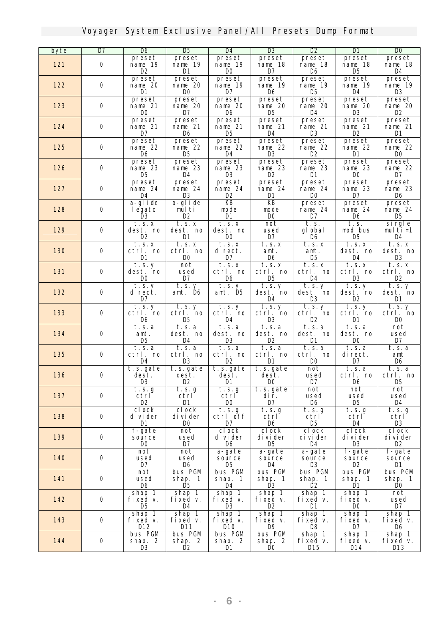| byte       | $\overline{\mathbf{D7}}$ | D6                    | D5                    | <b>D4</b>      | <b>D</b> <sub>3</sub>                         | D2             | DI            | $\overline{\mathbf{D}}$ |
|------------|--------------------------|-----------------------|-----------------------|----------------|-----------------------------------------------|----------------|---------------|-------------------------|
|            |                          | preset                | preset                | preset         | preset                                        | <i>preset</i>  | preset        | preset                  |
| 121        | $\bf{0}$                 | nane 19               | nane 19               | nane 19        | nane 18                                       | nane 18        | nane 18       | nane 18                 |
|            |                          | œ                     | D1                    | <b>DO</b>      | D7                                            | D6             | D5            | D4                      |
|            |                          | preset                | preset                | preset         | preset                                        | preset         | preset        | preset                  |
| 122        | 0                        | nane 20               | nane 20               | nane 19        | nane 19                                       | nane 19        | nane 19       | nane 19                 |
|            |                          | D1                    | DO.                   | D7             | D6                                            | D5             | D4            | œ                       |
|            |                          | preset                | preset                | preset         | preset                                        | preset         | <i>preset</i> | preset                  |
| 123        | $\mathbf 0$              | nane 21               | nane 20               | nane 20        | nane 20                                       | nane 20        | nane 20       | nane 20                 |
|            |                          | <b>DO</b>             | D7                    | D6             | D5                                            | D4             | B             | œ                       |
|            |                          | preset                | preset                | <b>preset</b>  | preset                                        | <b>preset</b>  | preset        | preset                  |
| 124        | 0                        | nane 21               | nane 21               | nane 21        | nane 21                                       | nane 21        | nane 21       | nane 21                 |
|            |                          | D7                    | D6                    | D5             | D4                                            | R              | D2            | D1                      |
|            |                          | preset                | <i>preset</i>         | <b>preset</b>  | preset                                        | <b>preset</b>  | <i>preset</i> | preset                  |
| 125        | 0                        | nane 22               | nane 22               | nane 22        | nane 22                                       | nane 22        | nane 22       | nane 22                 |
|            |                          | D6                    | D5                    | D4             | B                                             | œ              | D1            | <b>DO</b>               |
|            |                          | preset                | <i>preset</i>         | <b>preset</b>  | preset                                        | <b>preset</b>  | <i>preset</i> | preset                  |
| 126        | 0                        | nane 23               | name 23               | name 23        | name 23                                       | nane 23        | name 23       | name 22                 |
|            |                          | D5                    | D4                    | R              | D2                                            | D1             | DO            | D7                      |
|            |                          | <b>preset</b>         | preset                | <b>preset</b>  | preset                                        | <b>preset</b>  | <i>preset</i> | preset                  |
| 127        | 0                        | nane 24               | nane 24               | nane 24        | nane 24                                       | nane 24        | name 23       | nane 23                 |
|            |                          | D4                    | œ                     | œ              | D1                                            | <b>DO</b>      | D7            | D6                      |
|            |                          | a-glide               | a-glide               | KB             | KB                                            | preset         | <i>preset</i> | preset                  |
| 128        | 0                        | legato                | multi                 | node           | node                                          | nane 24        | nane 24       | nane 24                 |
|            |                          | B                     | œ                     | <b>D1</b>      | <b>DO</b>                                     | D7             | D6            | D5                      |
|            |                          | t. s. x               | t.s.x                 | t.s.x          | not                                           | t. s.          | t. s.         | single                  |
| 129        | 0                        | dest. no              | dest. no              | dest. no       | used                                          | gl obal        | nod bus       | multi=1                 |
|            |                          | D2                    | D1                    | DO             | D7                                            | D6             | D5            | D4                      |
|            |                          | $\overline{t}$ . s. x | t.s. x                | t.s. x         | t.s.x                                         | t.s. x         | t.s. x        | t.s.x                   |
| <b>130</b> | $\mathbf 0$              | ctrl. no              | ctrl. no              | direct.        | ant.                                          | amt.           | dest. no      | dest. no                |
|            |                          | D1                    | DO.                   | D7             | D6                                            | D5             | D4            | B                       |
|            |                          | t.s. y                | not                   | t.s. x         | t.s.x                                         | t.s. x         | t.s. x        | t.s.x                   |
| 131        | 0                        | dest. no              | used                  | ctrl. no       | ctrl. no                                      | ctrl. no       | ctrl. no      | ctrl. no                |
|            |                          | DO.                   | D7                    | D6             | D5                                            | D4             | <b>D</b> 3    | œ                       |
|            |                          | $\overline{t.s.}$ y   | t. s. y               | t.s. y         | $\overline{\mathbf{t}.\mathbf{s}.\mathbf{y}}$ | t.s. y         | t.s. y        | t.s. y                  |
| 132        | 0                        | di rect.              | ant. D6               | ant. D5        | dest. no                                      | dest. no       | dest. no      | dest. no                |
|            |                          | D7                    |                       |                | D4                                            | R              | œ             | D1                      |
|            |                          | t. s. y               | t.s. y                | t.s. y         | t.s. y                                        | t.s. y         | t.s. y        | t.s. y                  |
| 133        | 0                        | ctrl. no              | ctrl. no              | ctrl. no       | ctrl. no                                      | ctrl. no       | ctrl. no      | ctrl. no                |
|            |                          | D6                    | D5                    | D4             | D3                                            | D2             | D1            | <b>DO</b>               |
|            |                          | t. s. a               | t.s.a                 | t.s.a          | t.s.a                                         | t. s. a        | t.s.a         | not                     |
| 134        | $\mathbf 0$              | ant.                  | dest. no              | dest. no       | dest. no                                      | dest. no       | dest. no      | used                    |
|            |                          | D5                    | D4                    | R              | œ                                             | D1             | DO.           | D7                      |
|            |                          | t. s. a               | t.s.a                 | t. s. a        | t. s. a                                       | t.s.a          | t.s.a         | t. s. a                 |
| 135        | 0                        | ctrl. no              | ctrl. no              | ctrl. no       | ctrl. no                                      | ctrl. no       | direct.       | ant                     |
|            |                          | D4                    | B                     | œ              | D1                                            | DO.            | D7            | D6                      |
|            |                          | t.s.gate              | t. s. gate            | t.s.gate       | t.s.gate                                      | not            | t.s.a         | t. s. a                 |
| <b>136</b> | 0                        | dest.                 | dest.                 | dest.          | dest.                                         | used           | ctrl. no      | ctrl. no                |
|            |                          | <b>D3</b>             | D2                    | D1             | DO                                            | D7             | D6            | D5                      |
|            |                          | $\overline{t.s.}$ g   | t.s. g                | t.s. g         | t.s.gate                                      | not            | not           | not                     |
| 137        | $\bf{0}$                 | ctrl                  | ctrl                  | ctrl           | dir.                                          | used           | used          | used                    |
|            |                          | D2                    | D1                    | DO.            | D7                                            | D6             | D5            | D4                      |
|            |                          | clock                 | clock                 | t.s. g         | t.s.g                                         | t.s. g         | t. s. g       | t. s. g                 |
| 138        | $\mathbf 0$              | di vi der             | divider               | ctrl off       | ctrl                                          | ctrl           | ctrl          | ctrl                    |
|            |                          | D1                    | $\bf{D}0$             | $\mathbf{D}7$  | D <sub>6</sub>                                | D5             | D4            | <b>D3</b>               |
|            |                          | f-gate                | not                   | clock          | clock                                         | clock          | clock         | clock                   |
| <b>139</b> | $\mathbf 0$              | source                | used                  | di vi der      | di vi der                                     | divider        | di vi der     | divider                 |
|            |                          | DO.                   | D7                    | D6             | D5                                            | D4             | œ             | œ                       |
|            |                          | not                   | not                   | a-gate         | a-gate                                        | a-gate         | f-gate        | f-gate                  |
| <b>140</b> | 0                        | used                  | used                  | source         | source                                        | source         | source        | source                  |
|            |                          | D7                    | D <sub>6</sub>        | D5             | D4                                            | <b>D</b> 3     | D2            | D1                      |
|            |                          | not                   | <b>bus PGM</b>        | <b>bus PGM</b> | bus PGM                                       | <b>bus PGM</b> | bus PGM       | bus PGM                 |
| 141        | $\bf{0}$                 | used                  | shap. 1               | shap. 1        | shap. 1                                       | shap. 1        | shap. 1       | shap. 1                 |
|            |                          | D6                    | <b>D</b> <sub>5</sub> | D4             | R                                             | D2             | D1            | <b>DO</b>               |
|            |                          | shap 1                | shap 1                | shap 1         | shap 1                                        | shap 1         | shap 1        | not                     |
| 142        | $\bf{0}$                 | fixed v.              | fixed v.              | fixed v.       | fixed v.                                      | fixed v.       | fixed v.      | used                    |
|            |                          | D5                    | D4                    | <b>D3</b>      | D2                                            | D1             | DO            | D7                      |
|            |                          | shap 1                | shap 1                | shap 1         | shap 1                                        | shap 1         | shap 1        | shap 1                  |
| 143        | $\mathbf 0$              | fixed v.              | fixed v.              | fixed v.       | fixed v.                                      | fixed v.       | fixed v.      | fixed v.                |
|            |                          | D12                   | D11                   | D10            | D9                                            | D8             | D7            | D6                      |
|            |                          | bus PGM               | bus PGM               | bus PGM        | bus PGM                                       | shap 1         | shap 1        | shap 1                  |
| 144        | $\mathbf 0$              | shap. 2               | shap. 2               | shap. 2        | shap. 2                                       | fixed v.       | fixed v.      | fixed v.                |
|            |                          | Ŕ                     | Ď2                    | Ď1             | DO.                                           | D15            | D14           | D13                     |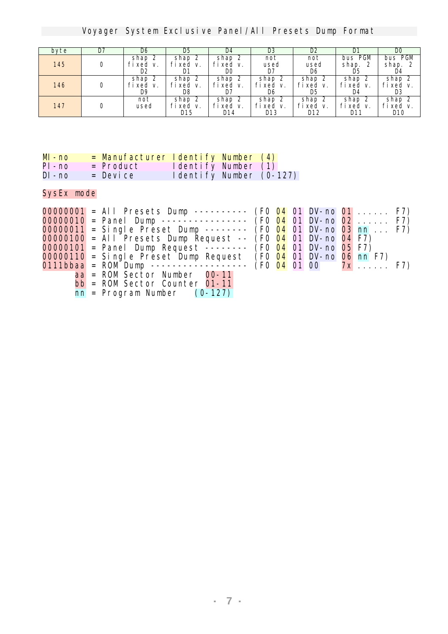Voyager System Exclusive Panel/All Presets Dump Format

| byte       | D7 | D6                       | D5                              | D4                              | œ                                | D2                              | D1                                   | DO                               |
|------------|----|--------------------------|---------------------------------|---------------------------------|----------------------------------|---------------------------------|--------------------------------------|----------------------------------|
| <b>145</b> | 0  | shap 2<br>fixed v.<br>D2 | 2<br>shap<br>fixed<br>v.<br>D1  | shap 2<br>fixed v.<br><b>DO</b> | not<br>used<br>D7                | not<br>used<br>D6               | bus PGM<br>shap. 2<br>D5             | bus PGM<br>shap.<br>2<br>D4      |
| <b>146</b> | 0  | shap<br>fixed v.<br>D9   | 2<br>shap<br>fixed<br>v.<br>D8  | shan 2<br>fixed v.<br>D7        | shap 2<br>fixed v.<br>D6         | 2<br>shap<br>fixed<br>v.<br>D5  | shap<br>fixed v.<br>D4               | shap 2<br>fixed v.<br><b>D</b> 3 |
| 147        |    | not<br>used              | 2<br>shap<br>fixed<br>v.<br>D15 | shap<br>-2<br>fixed v.<br>D14   | shap 2<br>fixed v.<br><b>D13</b> | 2<br>shap<br>fixed<br>v.<br>D12 | -2<br>shap<br>fixed v.<br><b>D11</b> | shap 2<br>fixed v.<br>D10        |

| <b>M-no</b> |                  | = Manufacturer Identify Number (4) |  |
|-------------|------------------|------------------------------------|--|
| PI - no     | = <b>Product</b> | <b>Identify Number (1)</b>         |  |
| DI - no     | $=$ Device       | <b>Identify Number (0-127)</b>     |  |

SysEx mode

|  | <b>00000001</b> = All Presets Dump --------- (F0 04 01 DV-no 01  F7)          |  |  |  |  |
|--|-------------------------------------------------------------------------------|--|--|--|--|
|  | <b>00000010</b> = Panel Dunp ---------------- (F0 04 01 DV-no 02  F7)         |  |  |  |  |
|  | <b>00000011</b> = Single Preset Dunp -------- (F0 04 01 DV-no 03 nn  F7)      |  |  |  |  |
|  | <b>00000100</b> = All Presets Dump Request $-$ (F0 04 01 DV-no 04 F7)         |  |  |  |  |
|  | <b>00000101</b> = Panel Dunp Request $\cdots$ $\cdots$ (F0 04 01 DV-no 05 F7) |  |  |  |  |
|  | $00000110$ = Single Preset Dunp Request (F0 04 01 DV-no 06 nn F7)             |  |  |  |  |
|  | 0111bbaa = ROM Dunp ----------------- (F0 04 01 00 $7x$ F7)                   |  |  |  |  |
|  | aa = ROM Sector Number 00-11                                                  |  |  |  |  |
|  | $bb = ROM Vector Counter 01-11$                                               |  |  |  |  |
|  | $\mathbf{m}$ = Program Number (0-127)                                         |  |  |  |  |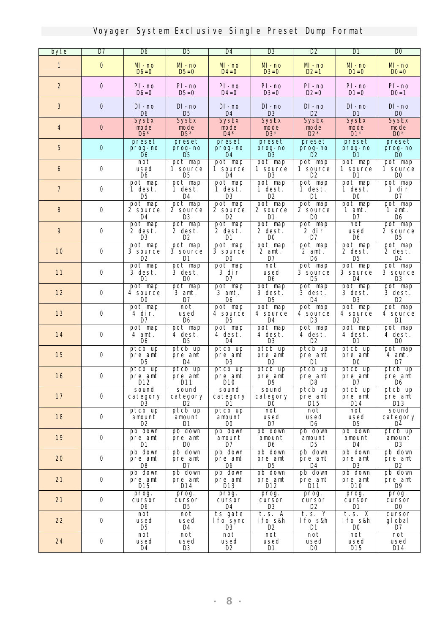| byte             | D7       | D6                                      | D5                                         | D4                                            | <b>D</b> <sub>3</sub>                   | D2                                            | D1                                     | <b>DO</b>                                           |
|------------------|----------|-----------------------------------------|--------------------------------------------|-----------------------------------------------|-----------------------------------------|-----------------------------------------------|----------------------------------------|-----------------------------------------------------|
| 1                | $\bf{0}$ | $M - no$<br>$D6=0$                      | $M - no$<br>$D5=0$                         | $M - no$<br>$\mathbf{D4} = \mathbf{0}$        | $M - no$<br>$D3=0$                      | $M - no$<br>$D2=1$                            | $M$ - no<br>$D1=0$                     | $M - no$<br>$D0=0$                                  |
| $\boldsymbol{z}$ | $\bf{0}$ | PI-no<br>$D6=0$                         | PI-no<br><b>D5=0</b>                       | PI-no<br>$\mathbf{D4} = \mathbf{0}$           | $PI$ - $no$<br>$D3=0$                   | PI-no<br>$D2=0$                               | PI-no<br>$M=0$                         | PI-no<br>$D0=1$                                     |
| $\bf{3}$         | $\bf{0}$ | DI - no<br>D <sub>6</sub>               | $DI - no$<br>D <sub>5</sub>                | DI - no<br>D <sub>4</sub>                     | DI-no<br>$\mathbf{B}$                   | $\mathbf{D}\mathbf{I}$ - no<br>D <sub>2</sub> | DI - no<br>D1                          | $\mathbf{D}\mathbf{I}$ - no<br>$\bf{D}0$            |
| 4                | $\bf{0}$ | <b>SysEx</b><br>mode<br>$\mathbf{D6}^*$ | <b>SysEx</b><br>node<br>$\mathbf{D5}^*$    | <b>SysEx</b><br>node<br>$\mathbf{D4}^*$       | <b>SysEx</b><br>mode<br>$\mathbf{B}^*$  | <b>SysEx</b><br>mode<br>$D2*$                 | <b>SysEx</b><br>node<br>$\mathbf{m}^*$ | <b>SysEx</b><br>mode<br>$\mathbf{D0}^*$             |
| 5                | $\bf{0}$ | preset<br>prog- no<br>D6                | preset<br>prog-no<br><b>D</b> <sub>5</sub> | preset<br>prog- no<br><b>D4</b>               | preset<br>prog-no<br>R                  | preset<br>prog-no<br>D2                       | preset<br>prog-no<br>M                 | preset<br>prog- no<br>DO                            |
| 6                | 0        | not<br>used<br>D <sub>6</sub>           | pot nap<br>1 source<br>D5                  | pot nap<br>1 source<br>D4                     | pot map<br>1 source<br>R                | pot nap<br>1 source<br>D2                     | pot nap<br>1 source<br>D1              | pot nap<br>1 source<br>DO.                          |
| $\boldsymbol{7}$ | $\bf{0}$ | pot nap<br>1 dest.<br>R5                | pot nap<br>1 dest.<br>D4                   | pot nap<br>1 dest.<br><b>D</b> 3              | pot nap<br>1 dest.<br>D2                | pot nap<br>1 dest.<br>M                       | pot nap<br>1 dest.<br>DO               | pot nap<br>1 dir<br>D7                              |
| 8                | 0        | pot nap<br>2 source<br>D4               | pot nap<br><b>2 source</b><br>B            | pot nap<br><b>2 source</b><br>œ               | pot map<br>2 source<br>D1               | pot nap<br>2 source<br><b>DO</b>              | pot nap<br>1 ant.<br>D7                | pot nap<br>$1$ ant.<br>D6                           |
| $\boldsymbol{9}$ | $\bf{0}$ | pot nap<br>2 dest.<br>R                 | pot nap<br>2 dest.<br>D2                   | pot map<br>2 dest.<br>D1                      | pot nap<br>2 dest.<br><b>DO</b>         | pot nap<br>2 dir<br>D7                        | not<br>used<br>D6                      | pot nap<br>2 source<br>D5                           |
| 10               | $\bf{0}$ | pot nap<br><b>3</b> source<br>œ         | pot nap<br><b>3 source</b><br>M            | pot nap<br><b>3 source</b><br>DO              | pot map<br>2 ant.<br>D7                 | pot nap<br>$2$ ant.<br>D6                     | pot nap<br>2 dest.<br>D5               | pot nap<br>2 dest.<br>D4                            |
| 11               | $\bf{0}$ | pot nap<br>3 dest.<br>M                 | pot nap<br>3 dest.<br><b>DO</b>            | pot nap<br>3 dir<br>D7                        | not<br>used<br>D6                       | pot nap<br><b>3</b> source<br>D5              | pot nap<br><b>3</b> source<br>D4       | pot nap<br><b>3 source</b><br><b>D</b> <sub>3</sub> |
| 12               | 0        | pot map<br><b>4 source</b><br>DO        | pot nap<br>3 ant.<br>D7                    | pot nap<br>3 amt.<br>D6                       | pot map<br>3 dest.<br>D5                | pot nap<br>3 dest.<br>D4                      | pot map<br>3 dest.<br>R                | pot nap<br>3 dest.<br>œ                             |
| 13               | 0        | pot nap<br>4 dir.<br>D7                 | not<br>used<br>D6                          | pot nap<br><b>4 source</b><br>D5              | pot nap<br><b>4 source</b><br>D4        | pot nap<br>4 source<br>B                      | pot map<br><b>4</b> source<br>œ        | pot nap<br><b>4 source</b><br>M                     |
| 14               | 0        | pot nap<br>4 ant.<br>D6                 | pot nap<br>4 dest.<br>D5                   | pot nap<br>4 dest.<br>D4                      | pot nap<br>4 dest.<br>R                 | pot nap<br>4 dest.<br>œ                       | pot nap<br>4 dest.<br>D1               | pot nap<br>4 dest.<br><b>DO</b>                     |
| 15               | 0        | ptcb up<br>pre ant<br>D5                | ptcb up<br>pre ant<br>D4                   | ptcb up<br>pre ant<br><b>IK</b>               | ptch up<br>pre ant<br>D2                | ptcb up<br>pre ant<br>D1                      | ptcb up<br>pre ant<br>DO.              | pot nap<br>4 ant.<br>D7                             |
| 16               | $\bf{0}$ | ptcb up<br>pre ant<br>D12               | ptcb up<br>pre ant<br>$\blacksquare$ D11   | ptcb up<br>pre ant<br>$\overline{\mathbf{m}}$ | ptcb up<br>pre ant<br>$\blacksquare$ D9 | ptcb up<br>pre ant<br>D8                      | ptcb up<br>pre ant<br>$\overline{D7}$  | ptcb up<br>pre ant<br>$\overline{ }$ D6             |
| 17               | 0        | sound<br>category<br>R.                 | sound<br>category<br>D2                    | sound<br>category<br>D1                       | sound<br>category<br>DO.                | ptcb up<br>pre ant<br>D15                     | ptcb up<br>pre ant<br>D14              | ptcb up<br>pre ant<br>D13                           |
| 18               | $\bf 0$  | ptcb up<br>anount<br>œ                  | ptcb up<br>anount<br>D1                    | ptcb up<br>anount<br>DO.                      | not<br>used<br>D7                       | not<br>used<br>D6                             | not<br>used<br>D5                      | sound<br>category<br>D4                             |
| 19               | $\bf 0$  | pb down<br>pre ant<br>D1                | pb down<br>pre ant<br>w                    | pb down<br>anount<br>D7                       | pb down<br>anount<br>D6                 | pb down<br>anount<br>D5                       | pb down<br>anount<br>D4                | ptcb up<br>anount<br>œ                              |
| 20               | 0        | pb down<br>pre ant<br>D8                | pb down<br>pre ant<br>D7                   | pb down<br>pre ant<br>D6                      | pb down<br>pre ant<br>D5                | pb down<br>pre ant<br>D4                      | pb down<br>pre ant<br>R                | pb down<br>pre ant<br>œ                             |
| 21               | 0        | pb down<br>pre ant<br>D15               | pb down<br>pre ant<br>D14                  | pb down<br>pre ant<br>D13                     | pb down<br>pre ant<br>D12               | pb down<br>pre ant<br>D11                     | pb down<br>pre ant<br>D10              | pb down<br>pre ant<br>D9                            |
| 21               | $\bf{0}$ | prog.<br>cursor<br>D6                   | prog.<br>cursor<br>D5                      | prog.<br>cursor<br>D4                         | prog.<br>cursor<br>œ                    | prog.<br>cursor<br>œ                          | prog.<br>cursor<br>D1                  | prog.<br>cursor<br>DO                               |
| 22               | $\bf{0}$ | not<br>used<br>D5                       | not<br>used<br>D4                          | ts gate<br><b>lfo</b> sync<br>R               | $t.s.$ A<br>lfo s&h<br>œ                | t.s. Y<br>lfo s&h<br>D1                       | t.s. X<br>lfo s&h<br>DO                | cursor<br>gl obal<br>$\mathbf{D}7$                  |
| 24               | $\bf 0$  | not<br>used<br>D4                       | not<br>used<br>œ                           | not<br>used<br>œ                              | not<br>used<br>D1                       | not<br>used<br>DO.                            | not<br>used<br>D15                     | not<br>used<br>D14                                  |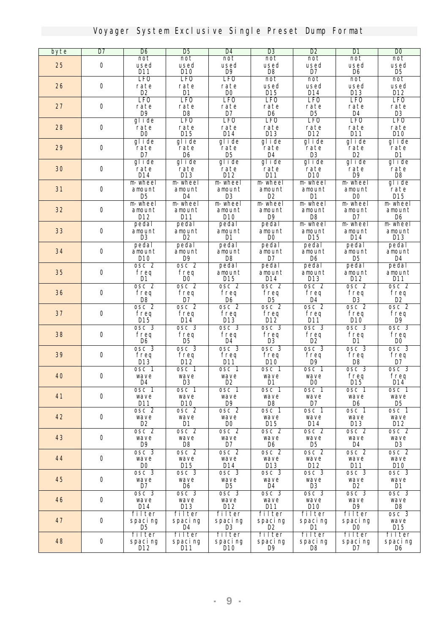| byte | $\overline{\mathbf{D7}}$ | D6                       | <b>D</b> <sub>5</sub>    | D4                        | <b>D</b> 3               | D2                                          | D1                       | $\overline{\mathbf{D}}$           |
|------|--------------------------|--------------------------|--------------------------|---------------------------|--------------------------|---------------------------------------------|--------------------------|-----------------------------------|
|      |                          | not                      | not                      | not                       | not                      | not                                         | not                      | not                               |
| 25   | $\bf{0}$                 | used<br><b>D11</b>       | used<br>D10              | used<br>D <sub>9</sub>    | used<br>D <sub>8</sub>   | used<br>D7                                  | used<br>D6               | used<br>D5                        |
|      |                          | <b>LFO</b>               | <b>LFO</b>               | <b>LFO</b>                | not                      | not                                         | not                      | not                               |
| 26   | $\bf{0}$                 | rate                     | rate                     | rate                      | used                     | used                                        | used                     | used                              |
|      |                          | D2                       | D1                       | <b>DO</b>                 | <b>D15</b>               | D14                                         | <b>D13</b>               | D12                               |
|      | $\bf{0}$                 | <b>LFO</b>               | <b>LFO</b>               | <b>LFO</b>                | <b>LFO</b>               | <b>LFO</b>                                  | <b>LFO</b>               | <b>LFO</b>                        |
| 27   |                          | rate<br>$\mathbf{D}9$    | rate<br>$\mathbf{D8}$    | rate<br>D7                | rate<br>D <sub>6</sub>   | rate<br>D <sub>5</sub>                      | rate<br>D4               | rate<br><b>D3</b>                 |
|      |                          | glide                    | <b>LFO</b>               | <b>LFO</b>                | <b>LFO</b>               | <b>LFO</b>                                  | <b>LFO</b>               | <b>LFO</b>                        |
| 28   | $\bf{0}$                 | rate                     | rate                     | rate                      | rate                     | rate                                        | rate                     | rate                              |
|      |                          | $\bf{D0}$                | D15                      | $M4$                      | <b>D13</b>               | D12                                         | $M1$                     | D10                               |
| 29   | $\bf{0}$                 | glide<br>rate            | glide<br>rate            | glide<br>rate             | glide<br>rate            | glide<br>rate                               | glide<br>rate            | glide<br>rate                     |
|      |                          | D7                       | D6                       | D <sub>5</sub>            | D4                       | <b>D3</b>                                   | D2                       | D1                                |
|      |                          | glide                    | glide                    | glide                     | glide                    | glide                                       | glide                    | glide                             |
| 30   | $\bf{0}$                 | rate                     | rate                     | rate                      | rate                     | rate                                        | rate                     | rate                              |
|      |                          | D14                      | <b>D13</b>               | $\mathbf{D12}$            | D11                      | D10                                         | D <sub>9</sub>           | D <sub>8</sub>                    |
| 31   | $\bf{0}$                 | m wheel<br>anount        | <b>m</b> wheel<br>anount | <b>m</b> wheel<br>anount  | m wheel<br>anount        | m wheel<br>anount                           | m wheel<br>anount        | glide<br>rate                     |
|      |                          | D5                       | <b>D4</b>                | <b>D3</b>                 | D2                       | D1                                          | D <sub>0</sub>           | <b>D15</b>                        |
|      |                          | m wheel                  | <b>m</b> wheel           | m wheel                   | m wheel                  | <b>m</b> wheel                              | m wheel                  | m wheel                           |
| 32   | $\bf{0}$                 | anount                   | anount                   | anount                    | <b>anount</b>            | anount                                      | anount                   | anount                            |
|      |                          | D12                      | D11                      | D10                       | D9                       | D8                                          | D7                       | D6                                |
| 33   | 0                        | pedal<br>anount          | pedal<br>anount          | pedal<br>anount           | pedal<br>anount          | m wheel<br>anount                           | m wheel<br>anount        | m wheel<br>anpunt                 |
|      |                          | R                        | D2                       | D1                        | <b>DO</b>                | D15                                         | D14                      | D13                               |
|      |                          | pedal                    | pedal                    | pedal                     | pedal                    | pedal                                       | pedal                    | pedal                             |
| 34   | $\bf{0}$                 | anount                   | anount                   | anount                    | anount                   | anount                                      | anount                   | anount                            |
|      |                          | D10                      | D <sub>9</sub>           | D8                        | D7                       | D6                                          | D5                       | D4                                |
| 35   | $\bf{0}$                 | osc <sub>2</sub><br>freq | osc <sub>2</sub><br>freq | pedal<br>anount           | pedal<br>anount          | pedal<br>anount                             | pedal<br>anount          | pedal<br>anount                   |
|      |                          | D1                       | DO.                      | <b>D15</b>                | D14                      | D13                                         | D12                      | <b>D11</b>                        |
|      |                          | osc <sub>2</sub>         | osc <sub>2</sub>         | osc <sub>2</sub>          | osc <sub>2</sub>         | osc <sub>2</sub>                            | osc <sub>2</sub>         | osc <sub>2</sub>                  |
| 36   | 0                        | freq                     | freq                     | freq                      | freq                     | freq                                        | freq                     | freq                              |
|      |                          | D8                       | D7                       | D6                        | D5                       | D4                                          | D3                       | œ                                 |
| 37   | $\bf{0}$                 | osc <sub>2</sub><br>freq | osc <sub>2</sub><br>freq | osc <sub>2</sub><br>freq  | osc <sub>2</sub><br>freq | osc <sub>2</sub><br>freq                    | osc <sub>2</sub><br>freq | osc <sub>2</sub><br>freq          |
|      |                          | D15                      | D14                      | $\mathbf{D}$ 13           | $\mathbf{D}12$           | D11                                         | D10                      | D9                                |
|      |                          | osc 3                    | osc 3                    | osc <sub>3</sub>          | osc 3                    | osc 3                                       | osc 3                    | osc 3                             |
| 38   | $\bf{0}$                 | freq                     | freq                     | freq                      | freq                     | freq                                        | freq                     | freq                              |
|      |                          | D6<br>osc 3              | D5<br>osc <sub>3</sub>   | D4<br>osc 3               | R<br>osc 3               | œ<br>osc 3                                  | M<br>osc 3               | DO.<br>osc 3                      |
| 39   | 0                        | freq                     | freq                     | freq                      | freq                     | freq                                        | freq                     | freq                              |
|      |                          | $DI3$                    | D12                      | D11                       | D10                      | D9                                          | D8                       | D7                                |
|      |                          | osc 1                    | osc 1                    | osc 1                     | osc 1                    | osc 1                                       | osc <sub>3</sub>         | osc 3                             |
| 40   | $\bf{0}$                 | wave                     | wave                     | wave                      | wave                     | wave                                        | freq                     | freq                              |
|      |                          | D4<br>osc 1              | <b>D3</b><br>osc 1       | D <sub>2</sub><br>osc 1   | D1<br>osc 1              | DO<br>osc 1                                 | $M5$<br>osc 1            | $M4$<br>osc 1                     |
| 41   | $\bf{0}$                 | wave                     | wave                     | wave                      | wave                     | wave                                        | wave                     | wave                              |
|      |                          | D11                      | D10                      | D9                        | D8                       | D7                                          | D6                       | D5                                |
|      |                          | osc <sub>2</sub>         | osc 2                    | osc <sub>2</sub>          | osc 1                    | osc 1                                       | osc 1                    | $\overline{\text{osc}}$ 1         |
| 42   | $\bf{0}$                 | wave                     | wave<br>D1               | wave<br>DO.               | wave                     | wave<br>D14                                 | wave                     | wave                              |
|      |                          | œ<br>osc <sub>2</sub>    | osc <sub>2</sub>         | osc <sub>2</sub>          | D15<br>osc 2             | osc 2                                       | D13<br>osc 2             | D12<br>osc 2                      |
| 43   | $\bf 0$                  | wave                     | wave                     | wave                      | wave                     | wave                                        | wave                     | wave                              |
|      |                          | D9                       | D8                       | D7                        | D6                       | D5                                          | D4                       | <b>D3</b>                         |
|      |                          | osc 3                    | osc <sub>2</sub>         | $\overline{\text{osc 2}}$ | osc 2                    | $\overline{\text{osc 2}}$                   | osc 2                    | osc <sub>2</sub>                  |
| 44   | $\mathbf 0$              | wave                     | wave                     | wave                      | wave                     | wave                                        | wave                     | wave                              |
|      |                          | DO.<br>osc 3             | D15<br>osc 3             | D14<br>osc 3              | D13<br>osc 3             | $\mathbf{M}2$<br>$\overline{\text{osc } 3}$ | D11<br>osc 3             | D10<br>$\overline{\text{osc } 3}$ |
| 45   | $\bf{0}$                 | wave                     | wave                     | wave                      | wave                     | wave                                        | wave                     | wave                              |
|      |                          | D7                       | D6                       | D5                        | D4                       | <b>D</b> 3                                  | D2                       | D1                                |
|      |                          | osc 3                    | osc 3                    | osc <sub>3</sub>          | osc 3                    | osc 3                                       | osc 3                    | osc 3                             |
| 46   | $\bf{0}$                 | wave<br>D14              | wave                     | wave<br>D12               | wave                     | wave<br>D10                                 | wave<br>D9               | wave<br>D8                        |
|      |                          | filter                   | D13<br>filter            | filter                    | D11<br>filter            | filter                                      | filter                   | osc 3                             |
| 47   | $\mathbf 0$              | spaci ng                 | spacing                  | spaci ng                  | spacing                  | spaci ng                                    | spaci ng                 | wave                              |
|      |                          | D5                       | D4                       | R                         | œ                        | D1                                          | DO.                      | D15                               |
|      |                          | filter                   | filter                   | filter                    | filter                   | filter                                      | filter                   | filter                            |
| 48   | $\bf 0$                  | spacing                  | spacing                  | spaci ng                  | spacing<br>D9            | spacing<br>DB                               | spacing<br>D7            | spacing                           |
|      |                          | D12                      | D11                      | D10                       |                          |                                             |                          | D6                                |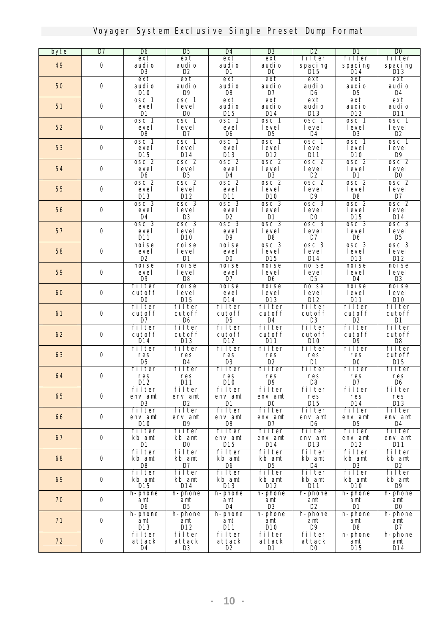| byte | $\overline{\mathbf{D7}}$ | D6                          | <b>D</b> <sub>5</sub>          | D4                       | <b>D3</b>                | D2                             | DI                       | <b>DO</b>              |
|------|--------------------------|-----------------------------|--------------------------------|--------------------------|--------------------------|--------------------------------|--------------------------|------------------------|
|      |                          | ext                         | ext                            | ext                      | ext                      | filter                         | filter                   | filter                 |
| 49   | $\bf{0}$                 | audi o                      | audi o                         | audi o                   | audi o                   | spacing                        | spacing                  | spacing                |
|      |                          | R                           | D <sub>2</sub>                 | D1                       | <b>DO</b>                | D15                            | D14                      | D13                    |
|      |                          | ext                         | ext                            | ext                      | ext                      | ext                            | ext                      | ext                    |
| 50   | $\bf{0}$                 | audi o<br>D10               | audi o<br>D9                   | audi o<br>D <sub>8</sub> | audi o<br>D7             | audi o<br>D6                   | audi o<br>D <sub>5</sub> | audi o<br>D4           |
|      |                          | osc 1                       | osc 1                          | ext                      | ext                      | ext                            | ext                      | ext                    |
| 51   | $\bf{0}$                 | <b>level</b>                | level                          | audi o                   | audi o                   | audi o                         | audi o                   | audi o                 |
|      |                          | D1                          | D <sub>0</sub>                 | $\mathbf{D1}5$           | D14                      | <b>D13</b>                     | D12                      | $M1$                   |
|      |                          | $\overline{\mathrm{osc}}$ 1 | $\overline{\text{osc}}$ 1      | osc 1                    | osc <sub>1</sub>         | osc <sub>1</sub>               | osc <sub>1</sub>         | osc <sub>1</sub>       |
| 52   | $\bf{0}$                 | <b>level</b>                | level                          | level                    | level                    | <b>level</b>                   | <b>level</b>             | level                  |
|      |                          | <b>D8</b>                   | D7                             | D6                       | D <sub>5</sub>           | D4                             | <b>D3</b>                | D <sub>2</sub>         |
|      |                          | osc 1                       | osc 1                          | osc 1                    | osc <sub>1</sub>         | osc 1                          | osc 1                    | osc <sub>1</sub>       |
| 53   | $\bf{0}$                 | <b>level</b>                | level                          | level                    | level                    | <b>level</b>                   | level                    | level                  |
|      |                          | D15<br>osc <sub>2</sub>     | <b>D14</b><br>osc <sub>2</sub> | $M3$<br>osc <sub>2</sub> | D12<br>osc <sub>2</sub>  | <b>D11</b><br>osc <sub>2</sub> | D10<br>osc <sub>2</sub>  | D9<br>osc <sub>2</sub> |
| 54   | $\bf{0}$                 | level                       | <b>level</b>                   | level                    | level                    | level                          | <b>level</b>             | level                  |
|      |                          | D <sub>6</sub>              | <b>D</b> <sub>5</sub>          | <b>D4</b>                | $\mathbf{D}3$            | D2                             | D1                       | $\bf{D}0$              |
|      |                          | osc <sub>2</sub>            | osc <sub>2</sub>               | osc <sub>2</sub>         | osc <sub>2</sub>         | osc <sub>2</sub>               | osc <sub>2</sub>         | osc <sub>2</sub>       |
| 55   | $\bf{0}$                 | level                       | level                          | level                    | level                    | level                          | level                    | level                  |
|      |                          | <b>D13</b>                  | D12                            | <b>D11</b>               | D10                      | D9                             | D <sub>8</sub>           | D7                     |
|      |                          | osc 3                       | osc 3                          | osc 3                    | osc 3                    | osc <sub>3</sub>               | osc <sub>2</sub>         | osc <sub>2</sub>       |
| 56   | $\bf{0}$                 | level                       | level                          | <b>level</b>             | level                    | level                          | level                    | level                  |
|      |                          | D <sub>4</sub>              | <b>D3</b>                      | D <sub>2</sub>           | D1                       | D <sub>0</sub>                 | <b>D15</b>               | D14                    |
|      |                          | osc 3                       | osc 3                          | osc <sub>3</sub>         | osc 3                    | osc <sub>3</sub>               | osc 3                    | osc 3                  |
| 57   | $\bf{0}$                 | level<br>D11                | level<br>D10                   | level<br>D9              | level<br><b>DS</b>       | level<br>D7                    | <b>level</b><br>D6       | level<br>D5            |
|      |                          | noise                       | noise                          | noise                    | osc 3                    | osc 3                          | osc <sub>3</sub>         | osc <sub>3</sub>       |
| 58   | $\bf{0}$                 | level                       | level                          | level                    | level                    | level                          | level                    | level                  |
|      |                          | D <sub>2</sub>              | <b>D1</b>                      | DO.                      | $M5$                     | D14                            | <b>D13</b>               | D12                    |
|      |                          | noise                       | noise                          | noise                    | noise                    | noise                          | noise                    | noise                  |
| 59   | $\bf{0}$                 | level                       | level                          | <b>level</b>             | level                    | <b>level</b>                   | <b>level</b>             | level                  |
|      |                          | D9                          | <b>DS</b>                      | D7                       | D <sub>6</sub>           | D <sub>5</sub>                 | <b>D4</b>                | <b>D3</b>              |
|      |                          | filter                      | noise                          | noise                    | noise                    | noise                          | noise                    | noise                  |
| 60   | $\bf{0}$                 | cutoff                      | <b>level</b>                   | level                    | level                    | level                          | level                    | level                  |
|      |                          | <b>DO</b><br>filter         | <b>D15</b><br>filter           | $M4$<br>filter           | <b>D13</b><br>filter     | D12<br>filter                  | $D11$<br>filter          | D10<br>filter          |
| 61   | $\bf{0}$                 | cutoff                      | cutoff                         | cutoff                   | cutoff                   | cutoff                         | cutoff                   | cutoff                 |
|      |                          | $\mathbf{D}$                | D6                             | <b>D</b> <sub>5</sub>    | D4                       | <b>D3</b>                      | D2                       | D1                     |
|      |                          | filter                      | filter                         | filter                   | filter                   | filter                         | filter                   | filter                 |
| 62   | $\bf{0}$                 | cutoff                      | cutoff                         | cutoff                   | cutoff                   | cutoff                         | cutoff                   | cutoff                 |
|      |                          | <b>D14</b>                  | <b>D13</b>                     | D12                      | D11                      | D10                            | D9                       | D8                     |
|      |                          | filter                      | filter                         | filter                   | filter                   | filter                         | filter                   | filter                 |
| 63   | 0                        | res                         | res                            | res                      | res<br>D <sub>2</sub>    | res                            | res                      | cutoff                 |
|      |                          | D <sub>5</sub><br>filter    | $\mathbf{D4}$<br>filter        | $\mathbf{D}3$<br>filter  | filter                   | D1<br>filter                   | DO<br>filter             | D15<br>filter          |
| 64   | $\bf{0}$                 | res                         | res                            | res                      | res                      | res                            | res                      | res                    |
|      |                          | $\mathbf{D}12$              | $M1$                           | D10                      | D9                       | D8                             | $\mathbf{D}7$            | D6                     |
|      |                          | filter                      | filter                         | filter                   | filter                   | filter                         | filter                   | filter                 |
| 65   | $\mathbf 0$              | env ant                     | env ant                        | env ant                  | env ant                  | res                            | res                      | res                    |
|      |                          | <b>D3</b>                   | D2                             | D1                       | DO.                      | D15                            | D14                      | D13                    |
|      |                          | filter                      | filter                         | filter                   | filter                   | filter                         | filter                   | filter                 |
| 66   | $\mathbf 0$              | env ant                     | env ant                        | env ant                  | env ant<br>$\mathbf{D}7$ | env ant<br>D6                  | env ant<br>D5.           | env ant                |
|      |                          | D10<br>filter               | D9<br>filter                   | D8<br>filter             | filter                   | filter                         | filter                   | D4<br>filter           |
| 67   | $\bf{0}$                 | kb ant                      | kb ant                         | env ant                  | env ant                  | env ant                        | env ant                  | env ant                |
|      |                          | D1                          | DO.                            | D15                      | D14                      | <b>D13</b>                     | D12                      | D11                    |
|      |                          | filter                      | filter                         | filter                   | filter                   | filter                         | filter                   | filter                 |
| 68   | $\bf 0$                  | kb amt                      | kb ant                         | kb ant                   | kb ant                   | kb ant                         | kb ant                   | kb ant                 |
|      |                          | D8                          | $\mathbf{D}7$                  | D6                       | D <sub>5</sub>           | D4                             | <b>D</b> 3               | D2                     |
|      |                          | filter                      | filter                         | filter                   | filter                   | filter                         | filter                   | filter                 |
| 69   | $\mathbf 0$              | kb ant                      | kb ant                         | kb ant                   | kb ant                   | kb ant                         | kb ant                   | kb ant                 |
|      |                          | D15                         | D14<br>h-phone                 | <b>D13</b>               | D12                      | D11                            | D10                      | D9                     |
| 70   | $\bf{0}$                 | h-phone<br>ant              | ant                            | h-phone<br>ant           | h-phone<br>ant           | h-phone<br>ant                 | h-phone<br>ant           | h-phone<br>ant         |
|      |                          | D6                          | D5                             | D4                       | <b>D3</b>                | D <sub>2</sub>                 | <b>D1</b>                | DO <sub>1</sub>        |
|      |                          | h-phone                     | h-phone                        | h-phone                  | h-phone                  | h-phone                        | h-phone                  | h-phone                |
| 71   | $\mathbf 0$              | ant                         | ant                            | ant                      | ant                      | ant                            | ant                      | ant                    |
|      |                          | D13                         | D12                            | D11                      | D10                      | D9                             | D8                       | D7                     |
|      |                          | filter                      | filter                         | filter                   | filter                   | filter                         | h-phone                  | h-phone                |
| 72   | $\bf{0}$                 | attack                      | attack                         | attack                   | attack                   | attack                         | ant                      | ant                    |
|      |                          | D4                          | <b>D</b> <sub>3</sub>          | D2                       | D1                       | <b>DO</b>                      | D15                      | D14                    |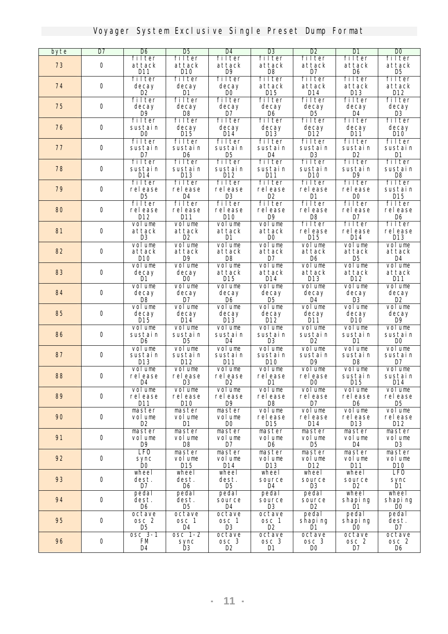| byte | $\overline{\mathbf{D7}}$ | <b>D</b> 6              | <b>D</b> <sub>5</sub> | D4                 | <b>D3</b>      | D2             | DI                                                                                                                                                                                                                                                                                                                                                                                                                                                                                           | $\overline{\mathbf{D}}$ |
|------|--------------------------|-------------------------|-----------------------|--------------------|----------------|----------------|----------------------------------------------------------------------------------------------------------------------------------------------------------------------------------------------------------------------------------------------------------------------------------------------------------------------------------------------------------------------------------------------------------------------------------------------------------------------------------------------|-------------------------|
|      |                          | filter                  | filter                | filter             | filter         | filter         | filter                                                                                                                                                                                                                                                                                                                                                                                                                                                                                       | filter                  |
| 73   | $\mathbf 0$              | attack                  | attack                | attack             | attack         | attack         | attack                                                                                                                                                                                                                                                                                                                                                                                                                                                                                       | attack                  |
|      |                          | <b>D11</b>              | D10                   | <b>D9</b>          | <b>DS</b>      | $\mathbf{D}7$  | D6                                                                                                                                                                                                                                                                                                                                                                                                                                                                                           | D <sub>5</sub>          |
|      |                          | filter                  | filter                | filter             | filter         | filter         | filter                                                                                                                                                                                                                                                                                                                                                                                                                                                                                       | filter                  |
| 74   | $\bf{0}$                 |                         |                       |                    | attack         | attack         | attack                                                                                                                                                                                                                                                                                                                                                                                                                                                                                       | attack                  |
|      |                          | decay<br>D <sub>2</sub> | decay<br>D1           | decay<br>$\bf{D}0$ | D15            | D14            | D13                                                                                                                                                                                                                                                                                                                                                                                                                                                                                          | $M2$                    |
|      |                          |                         |                       | filter             |                | filter         |                                                                                                                                                                                                                                                                                                                                                                                                                                                                                              |                         |
|      |                          | filter                  | filter                |                    | filter         |                | filter                                                                                                                                                                                                                                                                                                                                                                                                                                                                                       | filter                  |
| 75   | $\bf{0}$                 | decay                   | decay                 | decay              | decay          | decay          | decay                                                                                                                                                                                                                                                                                                                                                                                                                                                                                        | decay                   |
|      |                          | D9                      | D8                    | D7                 | D <sub>6</sub> | D <sub>5</sub> | D4                                                                                                                                                                                                                                                                                                                                                                                                                                                                                           | <b>D3</b>               |
|      |                          | filter                  | filter                | filter             | filter         | filter         | filter                                                                                                                                                                                                                                                                                                                                                                                                                                                                                       | filter                  |
| 76   | $\bf{0}$                 | sustain                 | decay                 | decay              | decay          | decay          | decay                                                                                                                                                                                                                                                                                                                                                                                                                                                                                        | decay                   |
|      |                          | DO.                     | $M5$                  | $M4$               | $\mathbf{D}13$ | $\mathbf{D12}$ | $M1$                                                                                                                                                                                                                                                                                                                                                                                                                                                                                         | D10                     |
|      |                          | filter                  | filter                | filter             | filter         | filter         | filter                                                                                                                                                                                                                                                                                                                                                                                                                                                                                       | filter                  |
| 77   | $\bf{0}$                 | sustain                 | sustain               | sustain            | sustain        | sustain        | sustain                                                                                                                                                                                                                                                                                                                                                                                                                                                                                      | sustain                 |
|      |                          | D7                      | D <sub>6</sub>        | D <sub>5</sub>     | D4             | $\mathbf{D}3$  | D <sub>2</sub>                                                                                                                                                                                                                                                                                                                                                                                                                                                                               | D1                      |
|      |                          | filter                  | filter                | filter             | filter         | filter         |                                                                                                                                                                                                                                                                                                                                                                                                                                                                                              | filter                  |
| 78   | $\bf{0}$                 | sustain                 | sustain               | sustain            | sustain        | sustain        |                                                                                                                                                                                                                                                                                                                                                                                                                                                                                              | sustain                 |
|      |                          | D14                     | $\overline{M}3$       | $M2$               | D11            | D10            |                                                                                                                                                                                                                                                                                                                                                                                                                                                                                              | D <sub>8</sub>          |
|      |                          | filter                  | filter                | filter             | filter         | filter         |                                                                                                                                                                                                                                                                                                                                                                                                                                                                                              | filter                  |
| 79   | $\bf{0}$                 | release                 | release               | release            | release        | release        |                                                                                                                                                                                                                                                                                                                                                                                                                                                                                              | sustain                 |
|      |                          | D5                      | <b>D4</b>             | $\mathbf{D}3$      | D <sub>2</sub> | D1             |                                                                                                                                                                                                                                                                                                                                                                                                                                                                                              | <b>D15</b>              |
|      |                          | filter                  |                       |                    | filter         | filter         |                                                                                                                                                                                                                                                                                                                                                                                                                                                                                              |                         |
|      |                          |                         | filter                | filter             |                |                |                                                                                                                                                                                                                                                                                                                                                                                                                                                                                              | filter                  |
| 80   | $\bf{0}$                 | release                 | release               | release            | release        | release        |                                                                                                                                                                                                                                                                                                                                                                                                                                                                                              | release                 |
|      |                          | D12                     | <b>D11</b>            | D10                | D9             | D <sub>8</sub> |                                                                                                                                                                                                                                                                                                                                                                                                                                                                                              | D6                      |
|      |                          | volume                  | volune                | volune             | volume         | filter         |                                                                                                                                                                                                                                                                                                                                                                                                                                                                                              | filter                  |
| 81   | $\bf{0}$                 | attack                  | attack                | attack             | attack         | release        |                                                                                                                                                                                                                                                                                                                                                                                                                                                                                              | release                 |
|      |                          | <b>D3</b>               | D2                    | D1                 | DO.            | <b>D15</b>     |                                                                                                                                                                                                                                                                                                                                                                                                                                                                                              | $M3$                    |
|      |                          | volume                  | volune                | volune             | volume         | volume         | volune                                                                                                                                                                                                                                                                                                                                                                                                                                                                                       | volune                  |
| 82   | $\bf{0}$                 | attack                  | attack                | attack             | attack         | attack         |                                                                                                                                                                                                                                                                                                                                                                                                                                                                                              | attack                  |
|      |                          | D10                     | <b>D9</b>             | D8                 | D7             | D6             |                                                                                                                                                                                                                                                                                                                                                                                                                                                                                              | D4                      |
|      |                          | volume                  | volune                | volume             | volume         | volume         |                                                                                                                                                                                                                                                                                                                                                                                                                                                                                              | volune                  |
| 83   | $\bf{0}$                 | decay                   | decay                 | attack             | attack         | attack         |                                                                                                                                                                                                                                                                                                                                                                                                                                                                                              | attack                  |
|      |                          | D1                      | D <sub>0</sub>        | $M5$               | D14            | D13            |                                                                                                                                                                                                                                                                                                                                                                                                                                                                                              | $D11$                   |
|      |                          | volume                  | volune                | volume             | volune         | volune         |                                                                                                                                                                                                                                                                                                                                                                                                                                                                                              | volune                  |
| 84   | $\bf{0}$                 |                         |                       | decay              |                |                |                                                                                                                                                                                                                                                                                                                                                                                                                                                                                              |                         |
|      |                          | decay                   | decay                 |                    | decay          | decay          |                                                                                                                                                                                                                                                                                                                                                                                                                                                                                              | decay                   |
|      |                          | D8                      | D7                    | D6                 | D <sub>5</sub> | <b>D4</b>      |                                                                                                                                                                                                                                                                                                                                                                                                                                                                                              | œ                       |
|      |                          | volune                  | volume                | volune             | volune         | volume         |                                                                                                                                                                                                                                                                                                                                                                                                                                                                                              | volune                  |
| 85   | $\bf{0}$                 | decay                   | decay                 | decay              | decay          | decay          |                                                                                                                                                                                                                                                                                                                                                                                                                                                                                              | decay                   |
|      |                          | $D15$                   | $M4$                  | $D13$              | $\mathbf{D}12$ | $D11$          |                                                                                                                                                                                                                                                                                                                                                                                                                                                                                              | <b>D9</b>               |
|      |                          | volume                  | volune                | volume             | volume         | volune         |                                                                                                                                                                                                                                                                                                                                                                                                                                                                                              | volume                  |
| 86   | $\boldsymbol{0}$         | sustain                 | sustain               | sustain            | sustain        | sustain        |                                                                                                                                                                                                                                                                                                                                                                                                                                                                                              | sustain                 |
|      |                          | D6                      | D5                    | D4                 | <b>D3</b>      | D <sub>2</sub> |                                                                                                                                                                                                                                                                                                                                                                                                                                                                                              | DO.                     |
|      |                          | volume                  | volune                | volume             | volume         | volume         |                                                                                                                                                                                                                                                                                                                                                                                                                                                                                              | volume                  |
| 87   | $\bf{0}$                 | sustain                 | sustain               | sustain            | sustain        | sustain        | sustain                                                                                                                                                                                                                                                                                                                                                                                                                                                                                      | sustain                 |
|      |                          | D13                     | D12                   | <b>D11</b>         | D10            | D9             | D <sub>8</sub>                                                                                                                                                                                                                                                                                                                                                                                                                                                                               | D7                      |
|      |                          | volume                  | volune                | volune             | volume         | volune         |                                                                                                                                                                                                                                                                                                                                                                                                                                                                                              | volune                  |
| 88   | $\bf{0}$                 | release                 | release               | release            | release        | release        |                                                                                                                                                                                                                                                                                                                                                                                                                                                                                              | sustain                 |
|      |                          | D4                      | R                     | D <sub>2</sub>     | M              | m)             | D15                                                                                                                                                                                                                                                                                                                                                                                                                                                                                          | D14                     |
|      |                          | volume                  | volume                | vol une            | volume         | volume         |                                                                                                                                                                                                                                                                                                                                                                                                                                                                                              | volune                  |
| 89   | 0                        | release                 | release               | release            | release        | release        |                                                                                                                                                                                                                                                                                                                                                                                                                                                                                              | release                 |
|      |                          | D11                     | D10                   | D9                 | D8             | D7             | filter<br>sustain<br><b>D9</b><br>filter<br>release<br>DO.<br>filter<br>release<br>D7<br>filter<br>release<br>D14<br>attack<br>D <sub>5</sub><br>volune<br>attack<br>D12<br>volume<br>decay<br>D3<br>volune<br>decay<br>D10<br>volume<br>sustain<br>D1<br>volume<br>volune<br>sustain<br>volume<br>release<br>D6<br>volume<br>release<br>D13<br>master<br>vol une<br>D4<br>master<br>volune<br>D11<br>wheel<br>source<br>œ<br>whee I<br>shapi ng<br>D1<br>pedal<br>shapi ng<br>DO.<br>octave | D5                      |
|      |                          | master                  | naster                | master             | volume         | vol une        |                                                                                                                                                                                                                                                                                                                                                                                                                                                                                              | volune                  |
| 90   | $\bf{0}$                 | volume                  | vol une               | vol une            | release        | release        |                                                                                                                                                                                                                                                                                                                                                                                                                                                                                              | release                 |
|      |                          | œ                       | D1                    | <b>DO</b>          | D15            | D14            |                                                                                                                                                                                                                                                                                                                                                                                                                                                                                              | D12                     |
|      |                          |                         |                       |                    |                |                |                                                                                                                                                                                                                                                                                                                                                                                                                                                                                              |                         |
|      |                          | master                  | master                | master             | master         | mster          |                                                                                                                                                                                                                                                                                                                                                                                                                                                                                              | master                  |
| 91   | $\bf{0}$                 | volume                  | volune                | volume             | volume         | vol une        |                                                                                                                                                                                                                                                                                                                                                                                                                                                                                              | volune                  |
|      |                          | D9                      | DB                    | D7                 | D6             | D5             |                                                                                                                                                                                                                                                                                                                                                                                                                                                                                              | œ                       |
|      |                          | <b>LFO</b>              | naster                | master             | master         | master         |                                                                                                                                                                                                                                                                                                                                                                                                                                                                                              | master                  |
| 92   | $\bf{0}$                 | sync                    | volume                | vol une            | volume         | volume         |                                                                                                                                                                                                                                                                                                                                                                                                                                                                                              | volune                  |
|      |                          | DO.                     | D15                   | D14                | D13            | D12            |                                                                                                                                                                                                                                                                                                                                                                                                                                                                                              | D10                     |
|      |                          | wheel                   | wheel                 | wheel              | wheel          | wheel          |                                                                                                                                                                                                                                                                                                                                                                                                                                                                                              | <b>LFO</b>              |
| 93   | $\bf{0}$                 | dest.                   | dest.                 | dest.              | source         | source         |                                                                                                                                                                                                                                                                                                                                                                                                                                                                                              | sync                    |
|      |                          | D7                      | D6                    | D5                 | D4             | B              |                                                                                                                                                                                                                                                                                                                                                                                                                                                                                              | D1                      |
|      |                          | pedal                   | pedal                 | pedal              | pedal          | pedal          |                                                                                                                                                                                                                                                                                                                                                                                                                                                                                              | whee l                  |
| 94   | $\bf{0}$                 | dest.                   | dest.                 | source             | source         | source         |                                                                                                                                                                                                                                                                                                                                                                                                                                                                                              | shapi ng                |
|      |                          | D6                      | D5                    | D4                 | <b>D</b> 3     | œ              |                                                                                                                                                                                                                                                                                                                                                                                                                                                                                              | DO.                     |
|      |                          | octave                  | octave                | octave             | octave         | pedal          |                                                                                                                                                                                                                                                                                                                                                                                                                                                                                              | pedal                   |
| 95   | $\mathbf 0$              | osc 2                   | osc 1                 | osc 1              | osc 1          | shapi ng       |                                                                                                                                                                                                                                                                                                                                                                                                                                                                                              | dest.                   |
|      |                          | <b>D</b> <sub>5</sub>   | D4                    | <b>D</b> 3         | D2             | ш              |                                                                                                                                                                                                                                                                                                                                                                                                                                                                                              | D7                      |
|      |                          | osc 3-1                 |                       |                    |                |                |                                                                                                                                                                                                                                                                                                                                                                                                                                                                                              |                         |
|      | $\bf{0}$                 | FM                      | osc 1-2               | octave             | octave         | octave         |                                                                                                                                                                                                                                                                                                                                                                                                                                                                                              | octave                  |
| 96   |                          |                         | sync                  | osc 3              | osc 3          | osc 3          | osc 2                                                                                                                                                                                                                                                                                                                                                                                                                                                                                        | osc <sub>2</sub>        |
|      |                          | D4                      | ĸ                     | œ                  | D1             | <b>DO</b>      | D7                                                                                                                                                                                                                                                                                                                                                                                                                                                                                           | D6                      |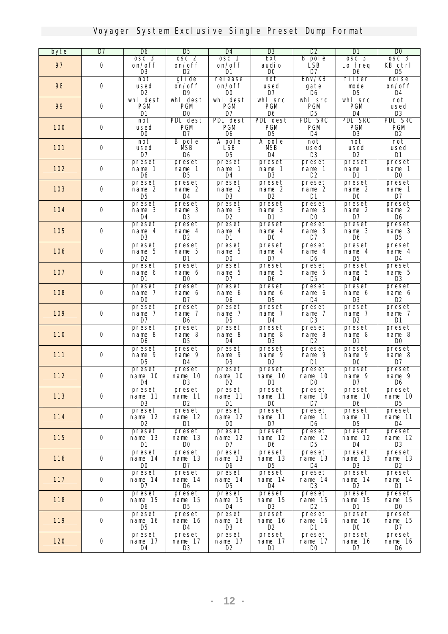| byte       | D7          | D6                     | <b>D</b> <sub>5</sub> | D4                       | $\mathbf{B}$             | D2                    | D1                    | $\bf{D}$              |
|------------|-------------|------------------------|-----------------------|--------------------------|--------------------------|-----------------------|-----------------------|-----------------------|
|            |             | osc 3                  | osc 2                 | osc 1                    | Ext                      | <b>B</b> pole         | osc <sub>3</sub>      | osc <sub>3</sub>      |
| 97         | $\bf{0}$    | on/off                 | on/off                | on/off                   | audi o                   | LSB                   | Lo freq               | KB ctrl               |
|            |             | R                      | œ                     | D1                       | <b>DO</b>                | D7                    | D6                    | D5                    |
|            |             | not                    | glide                 | release                  | not                      | $Emv / KB$            | filter                | noise                 |
| 98         | 0           | used                   | on/off                | on/off                   | used                     | gate                  | node                  | on/off                |
|            |             | D2                     | <b>D9</b>             | <b>DO</b>                | D7                       | D6                    | D5                    | D4                    |
| 99         | 0           | whl dest<br><b>PGM</b> | whl dest<br>PGM       | whl dest<br><b>PGM</b>   | whl src<br><b>PGM</b>    | whi src<br><b>PGM</b> | whl src<br><b>PGM</b> | not                   |
|            |             | <b>D1</b>              | DO.                   | D7                       | D <sub>6</sub>           | D <sub>5</sub>        | D <sub>4</sub>        | used<br><b>D3</b>     |
|            |             | not                    | <b>PDL</b> dest       | <b>PDL</b> dest          | <b>PDL</b> dest          | PDL SRC               | <b>PDL SRC</b>        | <b>PDL SRC</b>        |
| <b>100</b> | 0           | used                   | PGM                   | <b>PGM</b>               | <b>PGM</b>               | <b>PGM</b>            | <b>PGM</b>            | PGM                   |
|            |             | <b>DO</b>              | D7                    | D6                       | D5                       | D4                    | <b>D</b> <sub>3</sub> | D2                    |
|            |             | not                    | <b>B</b> pole         | A pole                   | A pole                   | not                   | not                   | not                   |
| <b>101</b> | 0           | used                   | <b>NSB</b>            | LSB                      | МSВ                      | used                  | used                  | used                  |
|            |             | D7                     | D6                    | D <sub>5</sub>           | D4                       | <b>D3</b>             | D <sub>2</sub>        | <b>D1</b>             |
|            |             | preset                 | preset                | preset                   | preset                   | preset                | preset                | preset                |
| 102        | 0           | nane 1                 | nane 1                | name 1                   | name 1                   | nane 1                | nane 1                | nane 1                |
|            |             | D6                     | D5                    | D <sub>4</sub>           | <b>D</b> <sub>3</sub>    | D2                    | D1                    | D <sub>0</sub>        |
|            |             | preset                 | preset                | preset                   | preset                   | preset                | preset                | preset                |
| <b>103</b> | 0           | nane 2                 | nane 2                | name 2                   | name 2                   | name 2                | nane 2                | nane 1                |
|            |             | D5                     | D4                    | œ                        | D2                       | D1                    | DO.                   | D7                    |
|            |             | preset                 | preset                | preset                   | preset                   | preset                | preset                | preset                |
| 104        | $\bf{0}$    | nane 3                 | nane 3                | name 3                   | name 3                   | name 3                | name 2                | nane 2                |
|            |             | D4<br>preset           | <b>D3</b><br>preset   | D2<br>preset             | D1<br>preset             | D0<br>preset          | D7<br>preset          | D6<br>preset          |
| <b>105</b> | 0           | nane 4                 | nane 4                | name 4                   | name 4                   | nane 3                | nane 3                | name 3                |
|            |             | R                      | D2                    | D1                       | m                        | D7                    | D6                    | D5                    |
|            |             | preset                 | preset                | <b>preset</b>            | preset                   | preset                | preset                | preset                |
| <b>106</b> | $\bf{0}$    | nane 5                 | nane 5                | name 5                   | nane 4                   | nane 4                | nane 4                | nane 4                |
|            |             | D2                     | D1                    | D0                       | D7                       | D6                    | D5                    | <b>D4</b>             |
|            |             | preset                 | preset                | preset                   | preset                   | preset                | preset                | preset                |
| 107        | $\bf{0}$    | nane 6                 | nane 6                | name 5                   | name 5                   | nane 5                | nane 5                | name 5                |
|            |             | D1                     | DO                    | D7                       | D6                       | D5                    | D4                    | <b>D</b> 3            |
|            |             | preset                 | preset                | preset                   | preset                   | preset                | preset                | preset                |
| 108        | O           | nane 7                 | nane 6                | nane 6                   | nane 6                   | nane 6                | name 6                | nane 6                |
|            |             | <b>DO</b>              | D7                    | D6                       | D5                       | D4                    | <b>D3</b>             | D2                    |
| <b>109</b> | 0           | preset<br>nane 7       | preset<br>nane 7      | preset<br>name 7         | preset<br>name 7         | preset<br>nane 7      | preset<br>nane 7      | preset<br>nane 7      |
|            |             | D7                     | D6                    | D5                       | D4                       | R                     | D2                    | D1                    |
|            |             | preset                 | preset                | preset                   | preset                   | preset                | preset                | preset                |
| <b>110</b> | $\bf{0}$    | nane 8                 | nane 8                | nane 8                   | nane 8                   | nane 8                | nane 8                | nane 8                |
|            |             | D6                     | D5                    | D4                       | D3                       | D2                    | D1                    | DO.                   |
|            |             | preset                 | <b>preset</b>         | preset                   | preset                   | preset                | preset                | preset                |
| 111        | $\bf{0}$    | nane 9                 | nane 9                | name 9                   | name 9                   | nane 9                | nane 9                | nane 8                |
|            |             | D5                     | D4                    | R                        | D2                       | D1                    | <b>DO</b>             | D7                    |
|            |             | preset                 | <b>preset</b>         | preset                   | preset                   | preset                | preset                | preset                |
| 112        | $\bf{0}$    | nane 10<br>D4          | nane 10<br>R          | nane 10<br>D2            | nane 10<br>D1            | nane 10<br>DO.        | nane 9<br>D7          | nane 9<br>D6          |
|            |             |                        |                       |                          |                          |                       |                       |                       |
| <b>113</b> | $\mathbf 0$ | preset<br>nane 11      | preset<br>nane 11     | preset<br>nane 11        | preset<br>nane 11        | preset<br>nane 10     | preset<br>nane 10     | preset<br>nane 10     |
|            |             | R                      | D2                    | D1                       | <b>DO</b>                | D7                    | D6                    | <b>D</b> <sub>5</sub> |
|            |             | preset                 | <i>preset</i>         | <i>preset</i>            | preset                   | preset                | preset                | preset                |
| 114        | 0           | nane 12                | nane 12               | nane 12                  | nane 11                  | nane 11               | nane 11               | nane 11               |
|            |             | D2                     | D1                    | <b>DO</b>                | D7                       | D6                    | D5                    | D4                    |
|            |             | preset                 | preset                | preset                   | preset                   | preset                | preset                | preset                |
| <b>115</b> | 0           | nane 13                | nane 13               | nane 12                  | nane 12                  | nane 12               | nane 12               | nane 12               |
|            |             | D1                     | <b>DO</b>             | D7                       | D6                       | D5                    | D4                    | R                     |
|            |             | preset                 | preset                | preset                   | preset                   | preset                | <b>preset</b>         | preset                |
| <b>116</b> | 0           | nane 14                | nane 13               | name 13                  | nane 13                  | nane 13               | nane 13               | nane 13               |
|            |             | <b>DO</b>              | D7                    | D6                       | D5                       | D4                    | <b>D3</b>             | D2                    |
|            | 0           | preset                 | <i>preset</i>         | <b>preset</b><br>nane 14 | <i>preset</i><br>nane 14 | preset<br>nane 14     | preset                | preset                |
| 117        |             | nane 14<br>D7          | nane 14<br>D6         | <b>D</b> <sub>5</sub>    | D4                       | œ                     | nane 14<br>œ          | nane 14<br>D1         |
|            |             | preset                 | preset                | preset                   | preset                   | preset                | preset                | preset                |
| <b>118</b> | 0           | nane 15                | nane 15               | nane 15                  | nane 15                  | nane 15               | nane 15               | nane 15               |
|            |             | D6                     | <b>D</b> <sub>5</sub> | D4                       | œ                        | D2                    | D1                    | DO.                   |
|            |             | preset                 | preset                | <i>preset</i>            | preset                   | preset                | preset                | preset                |
| <b>119</b> | 0           | nane 16                | nane 16               | nane 16                  | nane 16                  | nane 16               | nane 16               | nane 15               |
|            |             | <b>D</b> <sub>5</sub>  | D4                    | <b>D</b> 3               | D2                       | D1                    | DO                    | D7                    |
|            |             | preset                 | <b>preset</b>         | <i>preset</i>            | preset                   | <b>preset</b>         | <i>preset</i>         | preset                |
| <b>120</b> | 0           | nane 17                | nane 17               | nane 17                  | nane 17                  | nane 17               | nane 16               | nane 16               |
|            |             | D4                     | R.                    | D2                       | D1                       | DO.                   | D7                    | D6                    |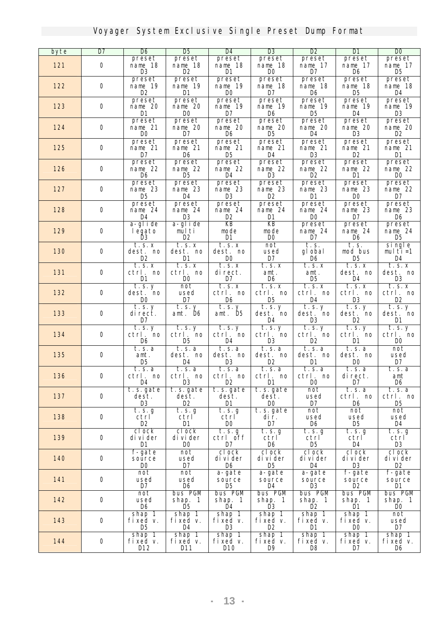| byte       | $\overline{\mathbf{D7}}$ | D6                        | <b>D</b> <sub>5</sub>    | <b>D</b> 4            | $\overline{\mathbf{B}}$          | D2                              | DI                    | $\bf{D}0$                       |  |
|------------|--------------------------|---------------------------|--------------------------|-----------------------|----------------------------------|---------------------------------|-----------------------|---------------------------------|--|
|            |                          | preset                    | <b>preset</b>            | preset                | <i>preset</i>                    | preset                          | preset                | preset                          |  |
| 121        | $\bf{0}$                 | nane 18                   | nane 18                  | nane 18               | nane 18                          | nane 17                         | nane 17               | nane 17                         |  |
|            |                          | R                         | œ                        | D1                    | <b>DO</b>                        | D7                              | D6                    | D5                              |  |
| 122        | 0                        | <b>preset</b><br>nane 19  | <b>preset</b><br>nane 19 | preset<br>nane 19     | <b>preset</b><br>nane 18         | <b>preset</b><br>nane 18        | preset<br>nane 18     | preset<br>nane 18               |  |
|            |                          | œ                         | D1                       | <b>DO</b>             | D7                               | D6                              | D5                    | D4                              |  |
|            |                          | preset                    | preset                   | preset                | preset                           | preset                          | preset                | preset                          |  |
| 123        | 0                        | name 20                   | nane 20                  | nane 19               | nane 19                          | nane 19                         | nane 19               | nane 19                         |  |
|            |                          | D1                        | <b>DO</b>                | D7                    | D6                               | D5                              | D4                    | <b>D3</b>                       |  |
|            |                          | <i>preset</i>             | preset                   | preset                | preset                           | preset                          | preset                | preset                          |  |
| 124        | $\bf{0}$                 | nane 21<br><b>DO</b>      | nane 20<br>D7            | nane 20<br>D6         | nane 20<br><b>D</b> <sub>5</sub> | nane 20<br>D4                   | nane 20<br><b>D3</b>  | nane 20<br>D2                   |  |
|            |                          | preset                    | <i>preset</i>            | preset                | preset                           | preset                          | preset                | preset                          |  |
| 125        | 0                        | nane 21                   | nane 21                  | nane 21               | nane 21                          | nane 21                         | nane 21               | nane 21                         |  |
|            |                          | D7                        | D6                       | D5                    | D4                               | R                               | œ                     | D1                              |  |
|            |                          | <b>preset</b>             | <b>preset</b>            | preset                | <b>preset</b>                    | <b>preset</b>                   | preset                | preset                          |  |
| 126        | 0                        | nane 22                   | nane 22                  | nane 22               | nane 22                          | nane 22                         | nane 22               | nane 22                         |  |
|            |                          | D6                        | D5                       | D4<br>preset          | R                                | D2                              | D1                    | <b>DO</b>                       |  |
| 127        | 0                        | <b>preset</b><br>nane 23  | <b>preset</b><br>nane 23 | nane 23               | <b>preset</b><br>nane 23         | <b>preset</b><br>nane 23        | preset<br>nane 23     | preset<br>name 22               |  |
|            |                          | D5                        | D4                       | <b>D</b> <sub>3</sub> | D2                               | D1                              | DO                    | D7                              |  |
|            |                          | <b>preset</b>             | <b>preset</b>            | <b>preset</b>         | <b>preset</b>                    | <b>preset</b>                   | preset                | preset                          |  |
| 128        | 0                        | nane 24                   | nane 24                  | nane 24               | nane 24                          | nane 24                         | nane 23               | name 23                         |  |
|            |                          | D4                        | <b>D</b> 3               | œ                     | D1                               | <b>DO</b>                       | D7                    | D6                              |  |
| <b>129</b> | 0                        | a-glide                   | a-glide                  | KB<br>node            | KB<br>node                       | <b>preset</b><br>nane 24        | preset<br>nane 24     | preset<br>nane 24               |  |
|            |                          | legato<br>Ď3              | multi<br>œ               | D1                    | <b>DO</b>                        | D7                              | D6                    | D5                              |  |
|            |                          | t.s.x                     | t.s.x                    | t.s. x                | not                              | t. s.                           | t. s.                 | single                          |  |
| <b>130</b> | 0                        | dest. no                  | dest. no                 | dest. no              | used                             | gl obal                         | nod bus               | multi=1                         |  |
|            |                          | D2                        | D1                       | <b>DO</b>             | $\mathbf{D}7$                    | D6                              | D5                    | D4                              |  |
|            |                          | t. s. x                   | t.s. x                   | t.s. x                | t.s.x                            | t.s. x                          | t.s. x                | t. s. x                         |  |
| 131        | $\bf{0}$                 | ctrl. no                  | ctrl. no                 | di rect.              | ant.                             | ant.<br>D5                      | dest. no              | dest. no                        |  |
|            |                          | D1<br>$\overline{t.s.}$ y | <b>DO</b><br>not         | D7<br>t.s. x          | D6<br>t.s.x                      | t.s.x                           | D4<br>t.s. x          | R<br>t.s.x                      |  |
| 132        | 0                        | dest. no                  | used                     | ctrl. no              | ctrl. no                         | ctrl. no                        | ctrl. no              | ctrl. no                        |  |
|            |                          | DO.                       | D7                       | D6                    | D5                               | D4                              | D3                    | D2                              |  |
|            |                          | t.s. y                    | t.s. y                   | t.s. y                | t.s. y                           | t.s. y                          | $\overline{t}$ . s. y | t.s. y                          |  |
| 133        | 0                        | direct.                   | ant. D <sub>6</sub>      | ant. D <sub>5</sub>   | dest. no                         | dest. no                        | dest. no              | dest. no                        |  |
|            |                          | D7                        |                          |                       | D4                               | <b>D</b> 3                      | œ                     | D1                              |  |
| 134        | 0                        | t. s. y<br>ctrl. no       | t.s. y<br>ctrl. no       | t.s. y<br>ctrl. no    | $\overline{t.s.}$ y<br>ctrl. no  | $\overline{t.s.}$ y<br>ctrl. no | t.s. y<br>ctrl. no    | $\overline{t.s.}$ y<br>ctrl. no |  |
|            |                          | D6                        | D5                       | D4                    | R                                | œ                               | ш                     | <b>DO</b>                       |  |
|            |                          | t. s. a                   | t.s.a                    | t.s.a                 | t. s. a                          | t.s.a                           | t.s.a                 | not                             |  |
| 135        | 0                        | ant.                      | dest. no                 | dest. no              | dest. no                         | dest. no                        | dest. no              | used                            |  |
|            |                          | D5                        | D4                       | B                     | œ                                | D1                              | DO.                   | $\mathbf{D}7$                   |  |
|            |                          | t. s. a                   | $\overline{t}$ . s. a    | t. s. a               | t. s. a                          | t.s.a                           | t.s.a                 | t. s. a                         |  |
| <b>136</b> | $\bf{0}$                 | ctrl. no<br>D4            | ctrl. no<br><b>D</b> 3   | ctrl. no<br>D2        | ctrl. no<br>D1                   | ctrl. no<br>DO                  | di rect.<br>D7        | ant<br>D6                       |  |
|            |                          | t.s.gate                  | t. s. gate               | t.s.gate              | t.s.gate                         | not                             | t. s. a               | t. s. a                         |  |
| 137        | 0                        | dest.                     | dest.                    | dest.                 | dest.                            | used                            | ctrl. no              | ctrl. no                        |  |
|            |                          | R                         | œ                        | D1                    | DO.                              | D7                              | D6                    | D5                              |  |
|            | 0                        | t. s. g                   | t.s. g                   | t.s. g                | t.s.gate                         | not                             | not                   | not                             |  |
| 138        |                          | ctrl<br>D2                | ctrl<br>D1               | ctrl<br>DO.           | dir.<br>$\mathbf{D}7$            | used<br>D6                      | used<br>D5            | used<br>D4                      |  |
|            |                          | clock                     | clock                    | t.s. g                | t.s. g                           | t.s. g                          | t.s. g                | t.s. g                          |  |
| <b>139</b> | $\bf 0$                  | di vi der                 | divider                  | ctrl off              | ctrl                             | ctrl                            | ctrl                  | ctrl                            |  |
|            |                          | D1                        | DO.                      | D7                    | D6                               | D5                              | D4                    | R                               |  |
|            |                          | f-gate                    | not                      | clock                 | clock                            | clock                           | clock                 | clock                           |  |
| <b>140</b> | $\mathbf 0$              | source                    | used                     | di vi der             | di vi der                        | di vi der                       | di vi der             | di vi der                       |  |
|            |                          | DO.                       | D7                       | D6                    | D5                               | D4                              | <b>D</b> <sub>3</sub> | D2                              |  |
| 141        | 0                        | not<br>used               | not<br>used              | a-gate<br>source      | a-gate<br>source                 | a-gate<br>source                | f-gate<br>source      | f-gate<br>source                |  |
|            |                          | D7                        | D6                       | D5                    | D4                               | B                               | œ                     | D1                              |  |
|            |                          | not                       | bus PGM                  | bus PGM               | bus PGM                          | bus PGM                         | <b>bus PGM</b>        | bus PGM                         |  |
| 142        | $\bf{0}$                 | used                      | shap. 1                  | shap. 1               | shap. 1                          | shap. 1                         | shap. 1               | shap. 1                         |  |
|            |                          | D6                        | D5                       | D4                    | R                                | D2                              | D1                    | DO.                             |  |
| 143        | $\bf{0}$                 | shap 1<br>fixed v.        | shap 1<br>fixed v.       | shap 1<br>fixed v.    | shap 1<br>fixed v.               | shap 1<br>fixed v.              | shap 1<br>fixed v.    | not<br>used                     |  |
|            |                          | D5                        | D4                       | R                     | D2                               | D1                              | DO.                   | D7                              |  |
|            |                          | shap 1                    | shap 1                   | shap 1                | shap 1                           | shap 1                          | shap 1                | shap 1                          |  |
| 144        | $\bf 0$                  | fixed v.                  | fixed v.                 | fixed v.              | fixed v.                         | fixed v.                        | fixed v.              | fixed v.                        |  |
|            |                          | D12                       | D11                      | D10                   | D9                               | D8                              | D7                    | D6                              |  |